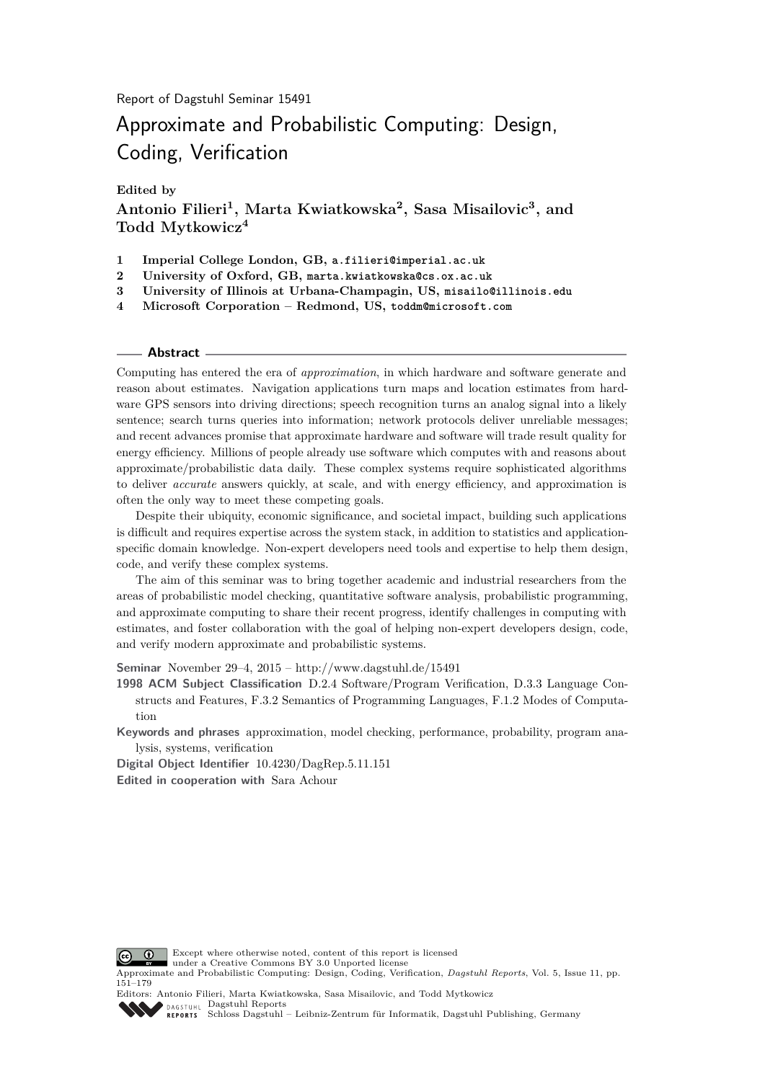**Edited by**

**Antonio Filieri<sup>1</sup> , Marta Kwiatkowska<sup>2</sup> , Sasa Misailovic<sup>3</sup> , and Todd Mytkowicz<sup>4</sup>**

- **1 Imperial College London, GB, a.filieri@imperial.ac.uk**
- **2 University of Oxford, GB, marta.kwiatkowska@cs.ox.ac.uk**
- **3 University of Illinois at Urbana-Champagin, US, misailo@illinois.edu**
- **4 Microsoft Corporation Redmond, US, toddm@microsoft.com**

#### **Abstract**

Computing has entered the era of *approximation*, in which hardware and software generate and reason about estimates. Navigation applications turn maps and location estimates from hardware GPS sensors into driving directions; speech recognition turns an analog signal into a likely sentence; search turns queries into information; network protocols deliver unreliable messages; and recent advances promise that approximate hardware and software will trade result quality for energy efficiency. Millions of people already use software which computes with and reasons about approximate/probabilistic data daily. These complex systems require sophisticated algorithms to deliver *accurate* answers quickly, at scale, and with energy efficiency, and approximation is often the only way to meet these competing goals.

Despite their ubiquity, economic significance, and societal impact, building such applications is difficult and requires expertise across the system stack, in addition to statistics and applicationspecific domain knowledge. Non-expert developers need tools and expertise to help them design, code, and verify these complex systems.

The aim of this seminar was to bring together academic and industrial researchers from the areas of probabilistic model checking, quantitative software analysis, probabilistic programming, and approximate computing to share their recent progress, identify challenges in computing with estimates, and foster collaboration with the goal of helping non-expert developers design, code, and verify modern approximate and probabilistic systems.

**Seminar** November 29–4, 2015 –<http://www.dagstuhl.de/15491>

**1998 ACM Subject Classification** D.2.4 Software/Program Verification, D.3.3 Language Constructs and Features, F.3.2 Semantics of Programming Languages, F.1.2 Modes of Computation

**Keywords and phrases** approximation, model checking, performance, probability, program analysis, systems, verification

**Digital Object Identifier** [10.4230/DagRep.5.11.151](http://dx.doi.org/10.4230/DagRep.5.11.151) **Edited in cooperation with** Sara Achour



Except where otherwise noted, content of this report is licensed under a [Creative Commons BY 3.0 Unported](http://creativecommons.org/licenses/by/3.0/) license

Approximate and Probabilistic Computing: Design, Coding, Verification, *Dagstuhl Reports*, Vol. 5, Issue 11, pp. 151[–179](#page-28-0)

Editors: Antonio Filieri, Marta Kwiatkowska, Sasa Misailovic, and Todd Mytkowicz [Dagstuhl Reports](http://www.dagstuhl.de/dagstuhl-reports/) [Schloss Dagstuhl – Leibniz-Zentrum für Informatik, Dagstuhl Publishing, Germany](http://www.dagstuhl.de)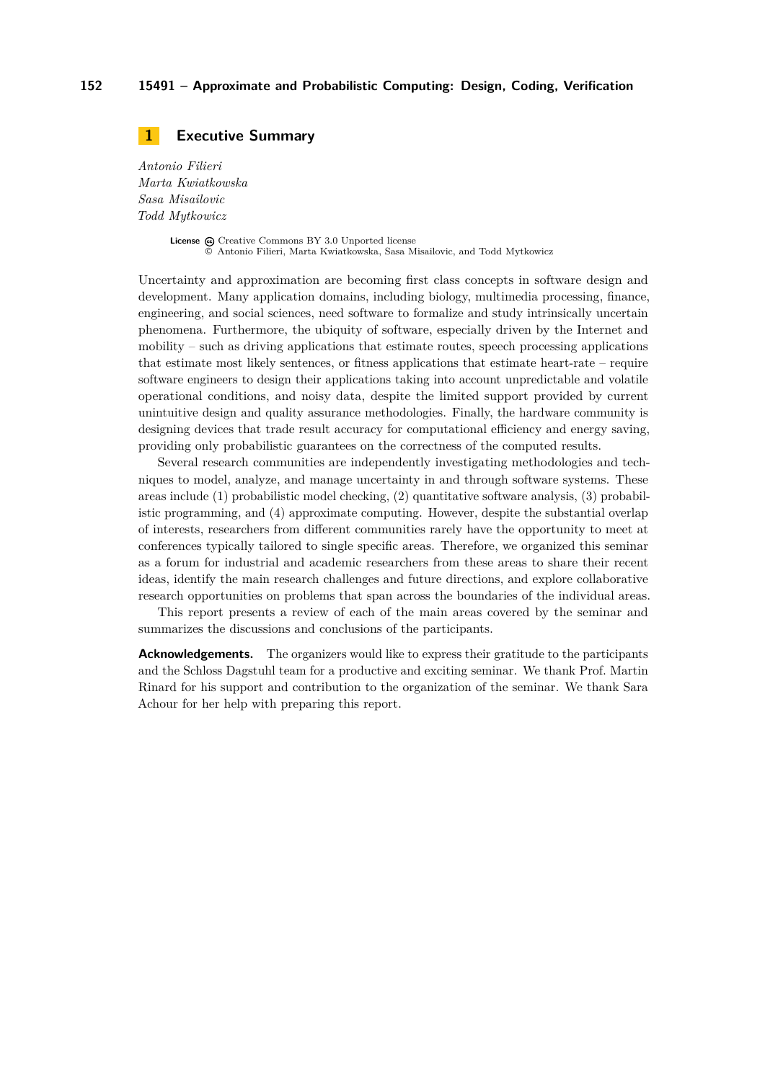### <span id="page-1-0"></span>**1 Executive Summary**

*Antonio Filieri Marta Kwiatkowska Sasa Misailovic Todd Mytkowicz*

> License  $\bigcirc$  [Creative Commons BY 3.0 Unported](http://creativecommons.org/licenses/by/3.0/) license © [Antonio Filieri, Marta Kwiatkowska, Sasa Misailovic, and Todd Mytkowicz](#page-1-0)

Uncertainty and approximation are becoming first class concepts in software design and development. Many application domains, including biology, multimedia processing, finance, engineering, and social sciences, need software to formalize and study intrinsically uncertain phenomena. Furthermore, the ubiquity of software, especially driven by the Internet and mobility – such as driving applications that estimate routes, speech processing applications that estimate most likely sentences, or fitness applications that estimate heart-rate – require software engineers to design their applications taking into account unpredictable and volatile operational conditions, and noisy data, despite the limited support provided by current unintuitive design and quality assurance methodologies. Finally, the hardware community is designing devices that trade result accuracy for computational efficiency and energy saving, providing only probabilistic guarantees on the correctness of the computed results.

Several research communities are independently investigating methodologies and techniques to model, analyze, and manage uncertainty in and through software systems. These areas include (1) probabilistic model checking, (2) quantitative software analysis, (3) probabilistic programming, and (4) approximate computing. However, despite the substantial overlap of interests, researchers from different communities rarely have the opportunity to meet at conferences typically tailored to single specific areas. Therefore, we organized this seminar as a forum for industrial and academic researchers from these areas to share their recent ideas, identify the main research challenges and future directions, and explore collaborative research opportunities on problems that span across the boundaries of the individual areas.

This report presents a review of each of the main areas covered by the seminar and summarizes the discussions and conclusions of the participants.

**Acknowledgements.** The organizers would like to express their gratitude to the participants and the Schloss Dagstuhl team for a productive and exciting seminar. We thank Prof. Martin Rinard for his support and contribution to the organization of the seminar. We thank Sara Achour for her help with preparing this report.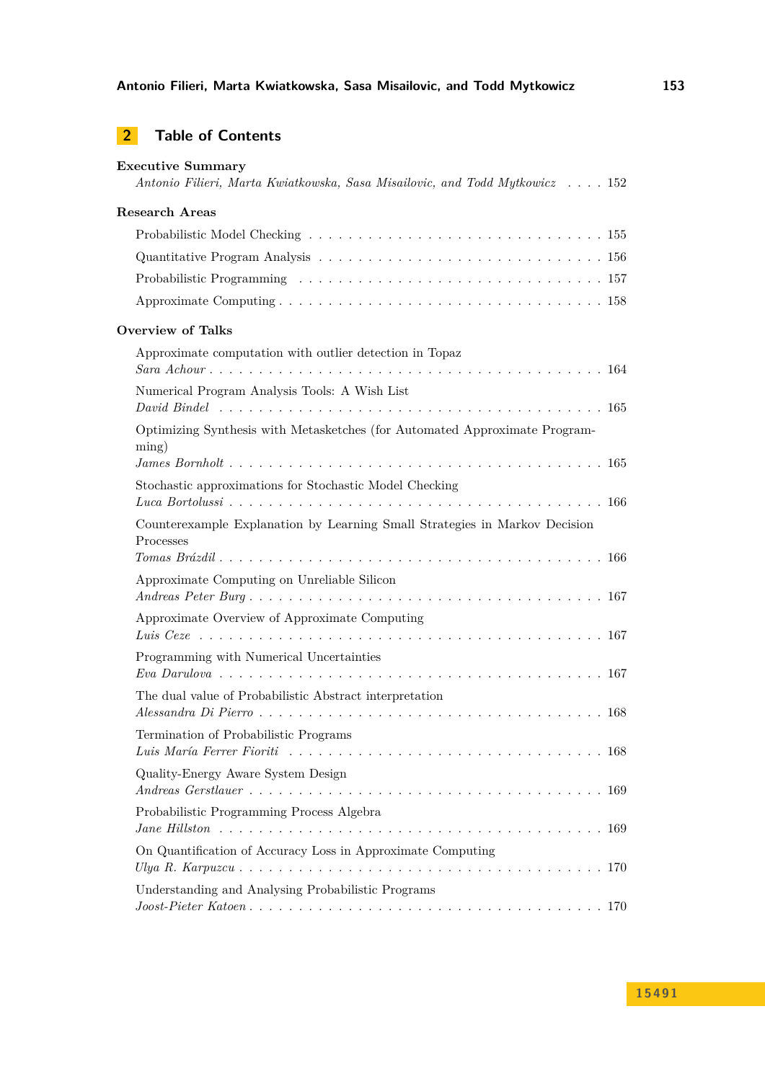## **2 Table of Contents**

| <b>Executive Summary</b>                                                                    | Antonio Filieri, Marta Kwiatkowska, Sasa Misailovic, and Todd Mytkowicz  152                                               |
|---------------------------------------------------------------------------------------------|----------------------------------------------------------------------------------------------------------------------------|
| Research Areas                                                                              |                                                                                                                            |
|                                                                                             |                                                                                                                            |
|                                                                                             |                                                                                                                            |
|                                                                                             |                                                                                                                            |
|                                                                                             |                                                                                                                            |
| <b>Overview of Talks</b>                                                                    |                                                                                                                            |
| Approximate computation with outlier detection in Topaz                                     |                                                                                                                            |
|                                                                                             |                                                                                                                            |
| Numerical Program Analysis Tools: A Wish List                                               |                                                                                                                            |
|                                                                                             |                                                                                                                            |
| Optimizing Synthesis with Metasketches (for Automated Approximate Program-<br>$\text{ming}$ |                                                                                                                            |
|                                                                                             |                                                                                                                            |
| Stochastic approximations for Stochastic Model Checking                                     |                                                                                                                            |
|                                                                                             |                                                                                                                            |
| Counterexample Explanation by Learning Small Strategies in Markov Decision<br>Processes     |                                                                                                                            |
|                                                                                             |                                                                                                                            |
| Approximate Computing on Unreliable Silicon                                                 |                                                                                                                            |
| Approximate Overview of Approximate Computing                                               |                                                                                                                            |
|                                                                                             |                                                                                                                            |
| Programming with Numerical Uncertainties                                                    |                                                                                                                            |
|                                                                                             |                                                                                                                            |
| The dual value of Probabilistic Abstract interpretation                                     |                                                                                                                            |
| Termination of Probabilistic Programs                                                       |                                                                                                                            |
|                                                                                             | Luis María Ferrer Fioriti $\ldots \ldots \ldots \ldots \ldots \ldots \ldots \ldots \ldots \ldots \ldots \ldots \ldots 168$ |
| Quality-Energy Aware System Design                                                          |                                                                                                                            |
| Probabilistic Programming Process Algebra                                                   |                                                                                                                            |
| On Quantification of Accuracy Loss in Approximate Computing                                 |                                                                                                                            |
|                                                                                             |                                                                                                                            |
| Understanding and Analysing Probabilistic Programs                                          |                                                                                                                            |
|                                                                                             | $Joost-Pieter Katoen \ldots \ldots \ldots \ldots \ldots \ldots \ldots \ldots \ldots \ldots \ldots \ldots \ldots 170$       |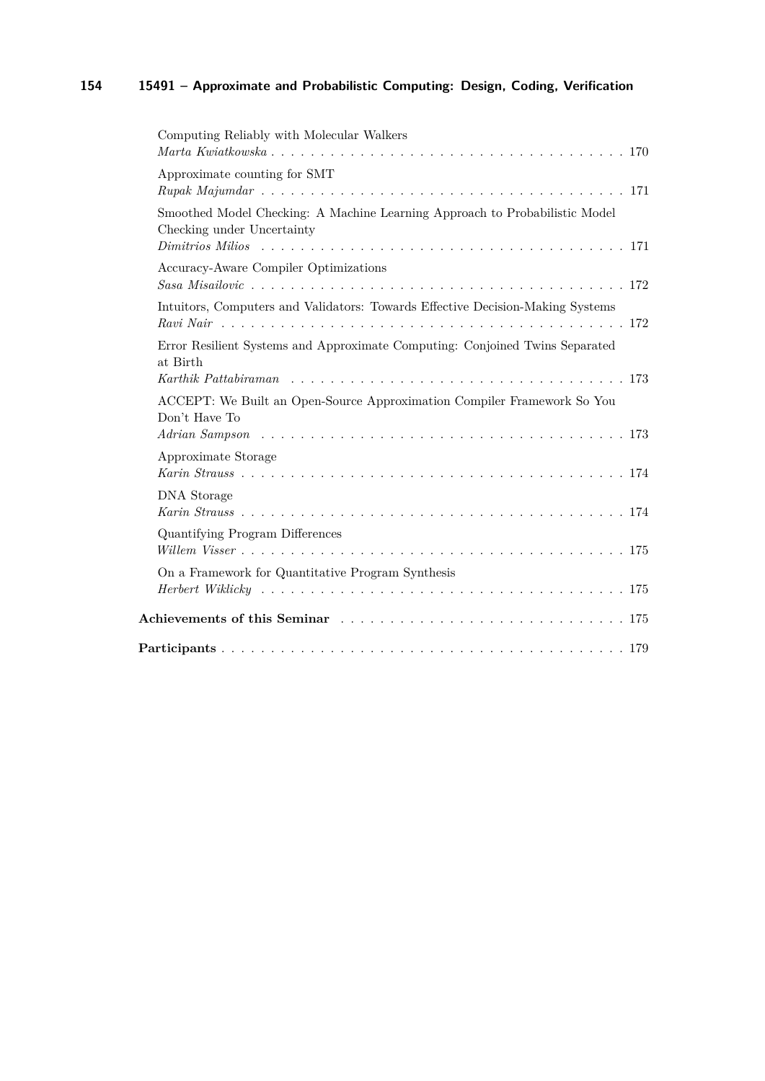| Computing Reliably with Molecular Walkers                                                                                                                                                                                      |
|--------------------------------------------------------------------------------------------------------------------------------------------------------------------------------------------------------------------------------|
| Approximate counting for SMT                                                                                                                                                                                                   |
| Smoothed Model Checking: A Machine Learning Approach to Probabilistic Model<br>Checking under Uncertainty                                                                                                                      |
| Accuracy-Aware Compiler Optimizations                                                                                                                                                                                          |
| Intuitors, Computers and Validators: Towards Effective Decision-Making Systems                                                                                                                                                 |
| Error Resilient Systems and Approximate Computing: Conjoined Twins Separated<br>at Birth<br>Karthik Pattabiraman eta alderarren arte erregea zuen zuen zuen zuen zuen zuen 173                                                 |
| ACCEPT: We Built an Open-Source Approximation Compiler Framework So You<br>Don't Have To                                                                                                                                       |
| Approximate Storage                                                                                                                                                                                                            |
| <b>DNA</b> Storage                                                                                                                                                                                                             |
| Quantifying Program Differences                                                                                                                                                                                                |
| On a Framework for Quantitative Program Synthesis                                                                                                                                                                              |
| Achievements of this Seminar entertainment of the Seminard Community of this Seminard Community of the Seminard Community of the Seminard Community of the Seminard Community of the Seminard Community of the Seminard Commun |
|                                                                                                                                                                                                                                |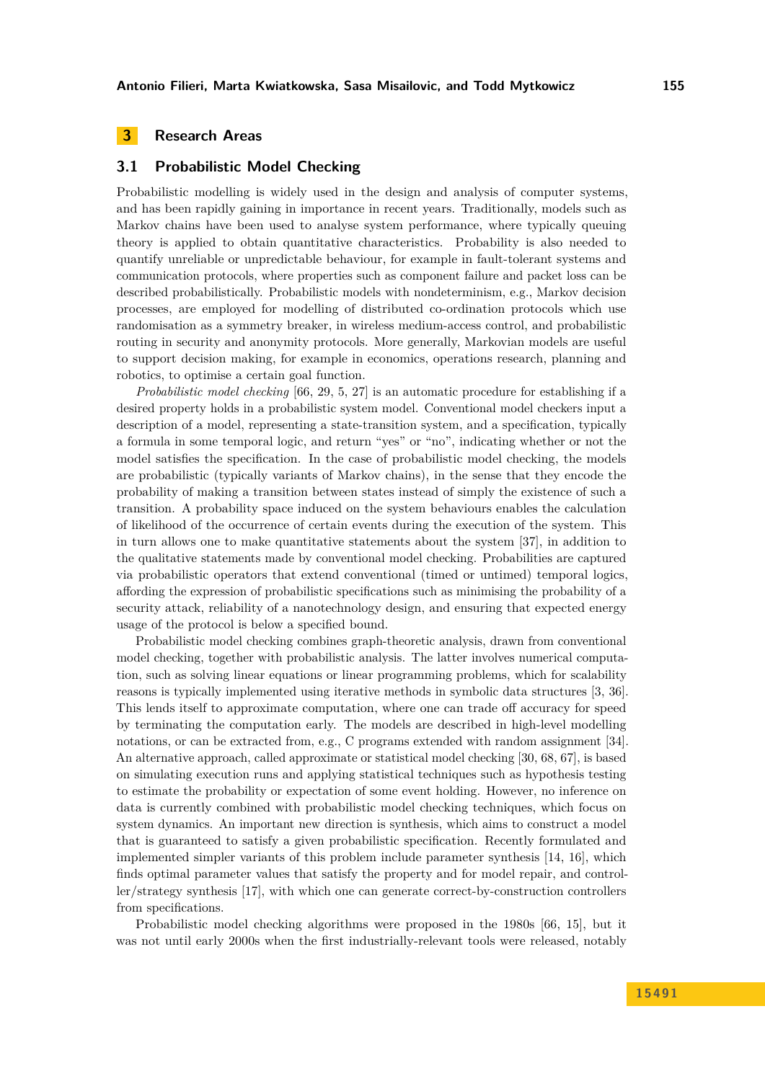### <span id="page-4-0"></span>**3 Research Areas**

#### <span id="page-4-1"></span>**3.1 Probabilistic Model Checking**

Probabilistic modelling is widely used in the design and analysis of computer systems, and has been rapidly gaining in importance in recent years. Traditionally, models such as Markov chains have been used to analyse system performance, where typically queuing theory is applied to obtain quantitative characteristics. Probability is also needed to quantify unreliable or unpredictable behaviour, for example in fault-tolerant systems and communication protocols, where properties such as component failure and packet loss can be described probabilistically. Probabilistic models with nondeterminism, e.g., Markov decision processes, are employed for modelling of distributed co-ordination protocols which use randomisation as a symmetry breaker, in wireless medium-access control, and probabilistic routing in security and anonymity protocols. More generally, Markovian models are useful to support decision making, for example in economics, operations research, planning and robotics, to optimise a certain goal function.

*Probabilistic model checking* [\[66,](#page-13-2) [29,](#page-10-0) [5,](#page-8-0) [27\]](#page-10-1) is an automatic procedure for establishing if a desired property holds in a probabilistic system model. Conventional model checkers input a description of a model, representing a state-transition system, and a specification, typically a formula in some temporal logic, and return "yes" or "no", indicating whether or not the model satisfies the specification. In the case of probabilistic model checking, the models are probabilistic (typically variants of Markov chains), in the sense that they encode the probability of making a transition between states instead of simply the existence of such a transition. A probability space induced on the system behaviours enables the calculation of likelihood of the occurrence of certain events during the execution of the system. This in turn allows one to make quantitative statements about the system [\[37\]](#page-11-0), in addition to the qualitative statements made by conventional model checking. Probabilities are captured via probabilistic operators that extend conventional (timed or untimed) temporal logics, affording the expression of probabilistic specifications such as minimising the probability of a security attack, reliability of a nanotechnology design, and ensuring that expected energy usage of the protocol is below a specified bound.

Probabilistic model checking combines graph-theoretic analysis, drawn from conventional model checking, together with probabilistic analysis. The latter involves numerical computation, such as solving linear equations or linear programming problems, which for scalability reasons is typically implemented using iterative methods in symbolic data structures [\[3,](#page-8-1) [36\]](#page-11-1). This lends itself to approximate computation, where one can trade off accuracy for speed by terminating the computation early. The models are described in high-level modelling notations, or can be extracted from, e.g., C programs extended with random assignment [\[34\]](#page-10-2). An alternative approach, called approximate or statistical model checking [\[30,](#page-10-3) [68,](#page-13-3) [67\]](#page-13-4), is based on simulating execution runs and applying statistical techniques such as hypothesis testing to estimate the probability or expectation of some event holding. However, no inference on data is currently combined with probabilistic model checking techniques, which focus on system dynamics. An important new direction is synthesis, which aims to construct a model that is guaranteed to satisfy a given probabilistic specification. Recently formulated and implemented simpler variants of this problem include parameter synthesis [\[14,](#page-9-0) [16\]](#page-9-1), which finds optimal parameter values that satisfy the property and for model repair, and controller/strategy synthesis [\[17\]](#page-9-2), with which one can generate correct-by-construction controllers from specifications.

Probabilistic model checking algorithms were proposed in the 1980s [\[66,](#page-13-2) [15\]](#page-9-3), but it was not until early 2000s when the first industrially-relevant tools were released, notably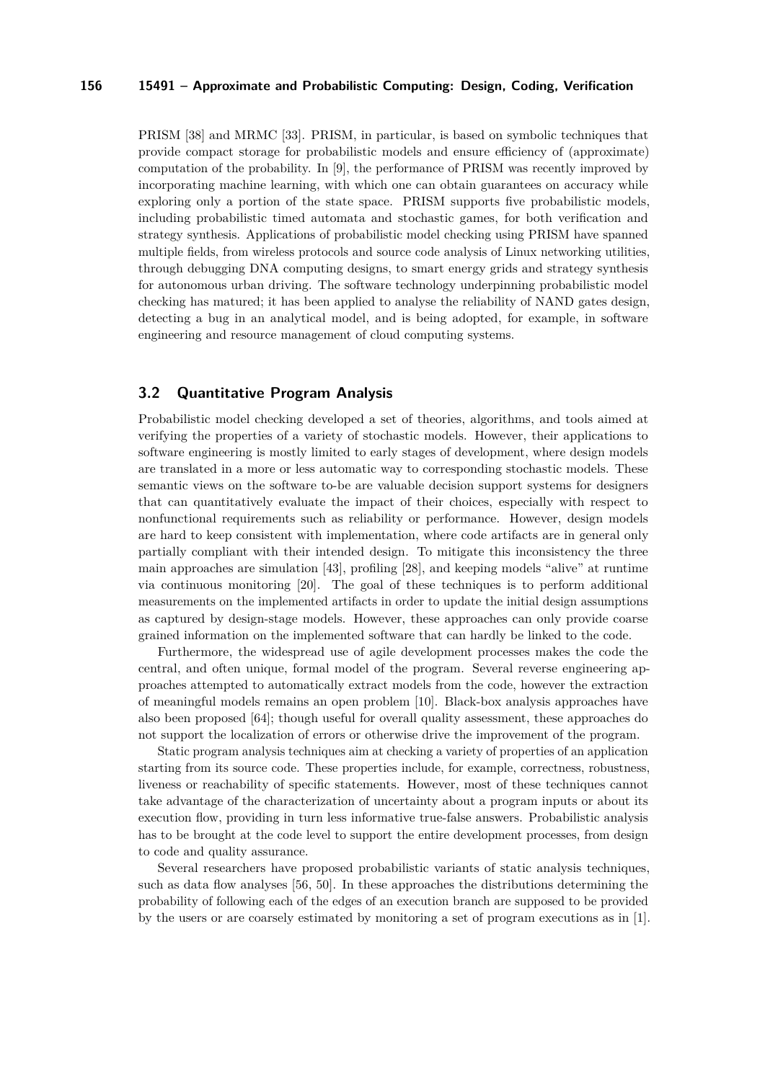PRISM [\[38\]](#page-11-2) and MRMC [\[33\]](#page-10-4). PRISM, in particular, is based on symbolic techniques that provide compact storage for probabilistic models and ensure efficiency of (approximate) computation of the probability. In [\[9\]](#page-9-4), the performance of PRISM was recently improved by incorporating machine learning, with which one can obtain guarantees on accuracy while exploring only a portion of the state space. PRISM supports five probabilistic models, including probabilistic timed automata and stochastic games, for both verification and strategy synthesis. Applications of probabilistic model checking using PRISM have spanned multiple fields, from wireless protocols and source code analysis of Linux networking utilities, through debugging DNA computing designs, to smart energy grids and strategy synthesis for autonomous urban driving. The software technology underpinning probabilistic model checking has matured; it has been applied to analyse the reliability of NAND gates design, detecting a bug in an analytical model, and is being adopted, for example, in software engineering and resource management of cloud computing systems.

### <span id="page-5-0"></span>**3.2 Quantitative Program Analysis**

Probabilistic model checking developed a set of theories, algorithms, and tools aimed at verifying the properties of a variety of stochastic models. However, their applications to software engineering is mostly limited to early stages of development, where design models are translated in a more or less automatic way to corresponding stochastic models. These semantic views on the software to-be are valuable decision support systems for designers that can quantitatively evaluate the impact of their choices, especially with respect to nonfunctional requirements such as reliability or performance. However, design models are hard to keep consistent with implementation, where code artifacts are in general only partially compliant with their intended design. To mitigate this inconsistency the three main approaches are simulation [\[43\]](#page-11-3), profiling [\[28\]](#page-10-5), and keeping models "alive" at runtime via continuous monitoring [\[20\]](#page-10-6). The goal of these techniques is to perform additional measurements on the implemented artifacts in order to update the initial design assumptions as captured by design-stage models. However, these approaches can only provide coarse grained information on the implemented software that can hardly be linked to the code.

Furthermore, the widespread use of agile development processes makes the code the central, and often unique, formal model of the program. Several reverse engineering approaches attempted to automatically extract models from the code, however the extraction of meaningful models remains an open problem [\[10\]](#page-9-5). Black-box analysis approaches have also been proposed [\[64\]](#page-13-5); though useful for overall quality assessment, these approaches do not support the localization of errors or otherwise drive the improvement of the program.

Static program analysis techniques aim at checking a variety of properties of an application starting from its source code. These properties include, for example, correctness, robustness, liveness or reachability of specific statements. However, most of these techniques cannot take advantage of the characterization of uncertainty about a program inputs or about its execution flow, providing in turn less informative true-false answers. Probabilistic analysis has to be brought at the code level to support the entire development processes, from design to code and quality assurance.

Several researchers have proposed probabilistic variants of static analysis techniques, such as data flow analyses [\[56,](#page-12-0) [50\]](#page-12-1). In these approaches the distributions determining the probability of following each of the edges of an execution branch are supposed to be provided by the users or are coarsely estimated by monitoring a set of program executions as in [\[1\]](#page-8-2).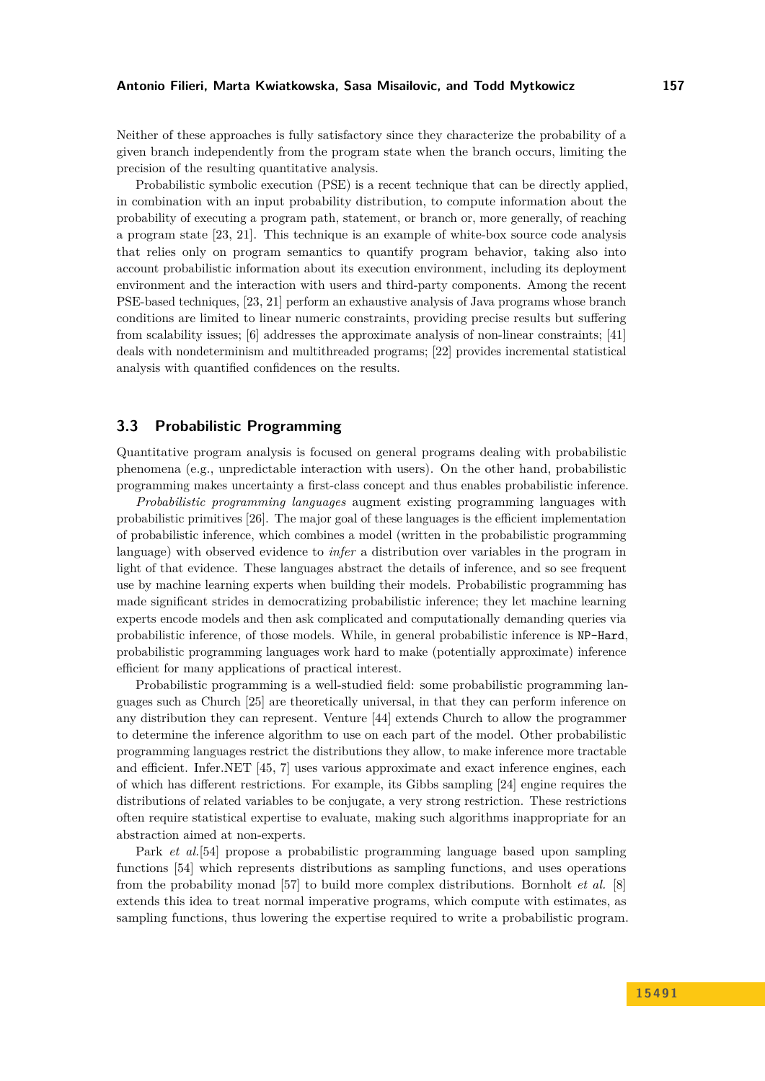Neither of these approaches is fully satisfactory since they characterize the probability of a given branch independently from the program state when the branch occurs, limiting the precision of the resulting quantitative analysis.

Probabilistic symbolic execution (PSE) is a recent technique that can be directly applied, in combination with an input probability distribution, to compute information about the probability of executing a program path, statement, or branch or, more generally, of reaching a program state [\[23,](#page-10-7) [21\]](#page-10-8). This technique is an example of white-box source code analysis that relies only on program semantics to quantify program behavior, taking also into account probabilistic information about its execution environment, including its deployment environment and the interaction with users and third-party components. Among the recent PSE-based techniques, [\[23,](#page-10-7) [21\]](#page-10-8) perform an exhaustive analysis of Java programs whose branch conditions are limited to linear numeric constraints, providing precise results but suffering from scalability issues; [\[6\]](#page-8-3) addresses the approximate analysis of non-linear constraints; [\[41\]](#page-11-4) deals with nondeterminism and multithreaded programs; [\[22\]](#page-10-9) provides incremental statistical analysis with quantified confidences on the results.

### <span id="page-6-0"></span>**3.3 Probabilistic Programming**

Quantitative program analysis is focused on general programs dealing with probabilistic phenomena (e.g., unpredictable interaction with users). On the other hand, probabilistic programming makes uncertainty a first-class concept and thus enables probabilistic inference.

*Probabilistic programming languages* augment existing programming languages with probabilistic primitives [\[26\]](#page-10-10). The major goal of these languages is the efficient implementation of probabilistic inference, which combines a model (written in the probabilistic programming language) with observed evidence to *infer* a distribution over variables in the program in light of that evidence. These languages abstract the details of inference, and so see frequent use by machine learning experts when building their models. Probabilistic programming has made significant strides in democratizing probabilistic inference; they let machine learning experts encode models and then ask complicated and computationally demanding queries via probabilistic inference, of those models. While, in general probabilistic inference is NP-Hard, probabilistic programming languages work hard to make (potentially approximate) inference efficient for many applications of practical interest.

Probabilistic programming is a well-studied field: some probabilistic programming languages such as Church [\[25\]](#page-10-11) are theoretically universal, in that they can perform inference on any distribution they can represent. Venture [\[44\]](#page-11-5) extends Church to allow the programmer to determine the inference algorithm to use on each part of the model. Other probabilistic programming languages restrict the distributions they allow, to make inference more tractable and efficient. Infer.NET [\[45,](#page-11-6) [7\]](#page-9-6) uses various approximate and exact inference engines, each of which has different restrictions. For example, its Gibbs sampling [\[24\]](#page-10-12) engine requires the distributions of related variables to be conjugate, a very strong restriction. These restrictions often require statistical expertise to evaluate, making such algorithms inappropriate for an abstraction aimed at non-experts.

Park *et al.*[\[54\]](#page-12-2) propose a probabilistic programming language based upon sampling functions [\[54\]](#page-12-2) which represents distributions as sampling functions, and uses operations from the probability monad [\[57\]](#page-12-3) to build more complex distributions. Bornholt *et al.* [\[8\]](#page-9-7) extends this idea to treat normal imperative programs, which compute with estimates, as sampling functions, thus lowering the expertise required to write a probabilistic program.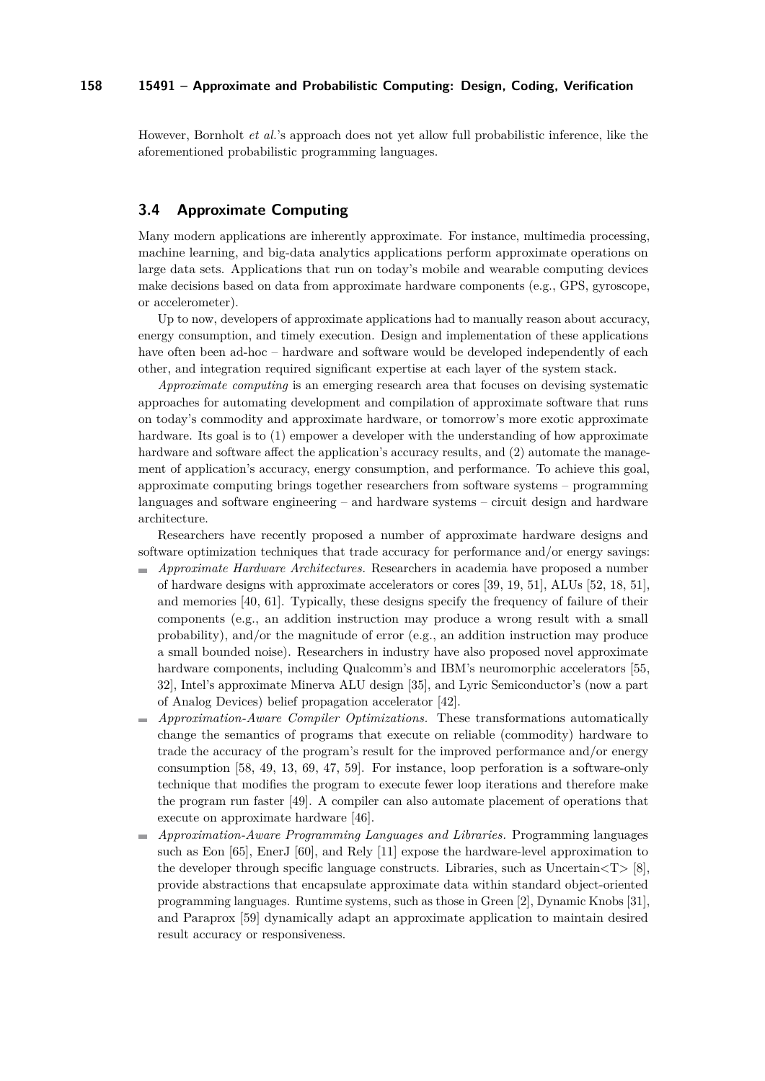However, Bornholt *et al.*'s approach does not yet allow full probabilistic inference, like the aforementioned probabilistic programming languages.

### <span id="page-7-0"></span>**3.4 Approximate Computing**

Many modern applications are inherently approximate. For instance, multimedia processing, machine learning, and big-data analytics applications perform approximate operations on large data sets. Applications that run on today's mobile and wearable computing devices make decisions based on data from approximate hardware components (e.g., GPS, gyroscope, or accelerometer).

Up to now, developers of approximate applications had to manually reason about accuracy, energy consumption, and timely execution. Design and implementation of these applications have often been ad-hoc – hardware and software would be developed independently of each other, and integration required significant expertise at each layer of the system stack.

*Approximate computing* is an emerging research area that focuses on devising systematic approaches for automating development and compilation of approximate software that runs on today's commodity and approximate hardware, or tomorrow's more exotic approximate hardware. Its goal is to  $(1)$  empower a developer with the understanding of how approximate hardware and software affect the application's accuracy results, and (2) automate the management of application's accuracy, energy consumption, and performance. To achieve this goal, approximate computing brings together researchers from software systems – programming languages and software engineering – and hardware systems – circuit design and hardware architecture.

Researchers have recently proposed a number of approximate hardware designs and software optimization techniques that trade accuracy for performance and/or energy savings:

- *Approximate Hardware Architectures.* Researchers in academia have proposed a number  $\blacksquare$ of hardware designs with approximate accelerators or cores [\[39,](#page-11-7) [19,](#page-9-8) [51\]](#page-12-4), ALUs [\[52,](#page-12-5) [18,](#page-9-9) [51\]](#page-12-4), and memories [\[40,](#page-11-8) [61\]](#page-12-6). Typically, these designs specify the frequency of failure of their components (e.g., an addition instruction may produce a wrong result with a small probability), and/or the magnitude of error (e.g., an addition instruction may produce a small bounded noise). Researchers in industry have also proposed novel approximate hardware components, including Qualcomm's and IBM's neuromorphic accelerators [\[55,](#page-12-7) [32\]](#page-10-13), Intel's approximate Minerva ALU design [\[35\]](#page-11-9), and Lyric Semiconductor's (now a part of Analog Devices) belief propagation accelerator [\[42\]](#page-11-10).
- *Approximation-Aware Compiler Optimizations.* These transformations automatically  $\mathcal{L}_{\mathcal{A}}$ change the semantics of programs that execute on reliable (commodity) hardware to trade the accuracy of the program's result for the improved performance and/or energy consumption [\[58,](#page-12-8) [49,](#page-12-9) [13,](#page-9-10) [69,](#page-13-6) [47,](#page-11-11) [59\]](#page-12-10). For instance, loop perforation is a software-only technique that modifies the program to execute fewer loop iterations and therefore make the program run faster [\[49\]](#page-12-9). A compiler can also automate placement of operations that execute on approximate hardware [\[46\]](#page-11-12).
- *Approximation-Aware Programming Languages and Libraries.* Programming languages such as Eon [\[65\]](#page-13-7), EnerJ [\[60\]](#page-12-11), and Rely [\[11\]](#page-9-11) expose the hardware-level approximation to the developer through specific language constructs. Libraries, such as  $Uncertain <sub>T</sub> > [8]$  $Uncertain <sub>T</sub> > [8]$ , provide abstractions that encapsulate approximate data within standard object-oriented programming languages. Runtime systems, such as those in Green [\[2\]](#page-8-4), Dynamic Knobs [\[31\]](#page-10-14), and Paraprox [\[59\]](#page-12-10) dynamically adapt an approximate application to maintain desired result accuracy or responsiveness.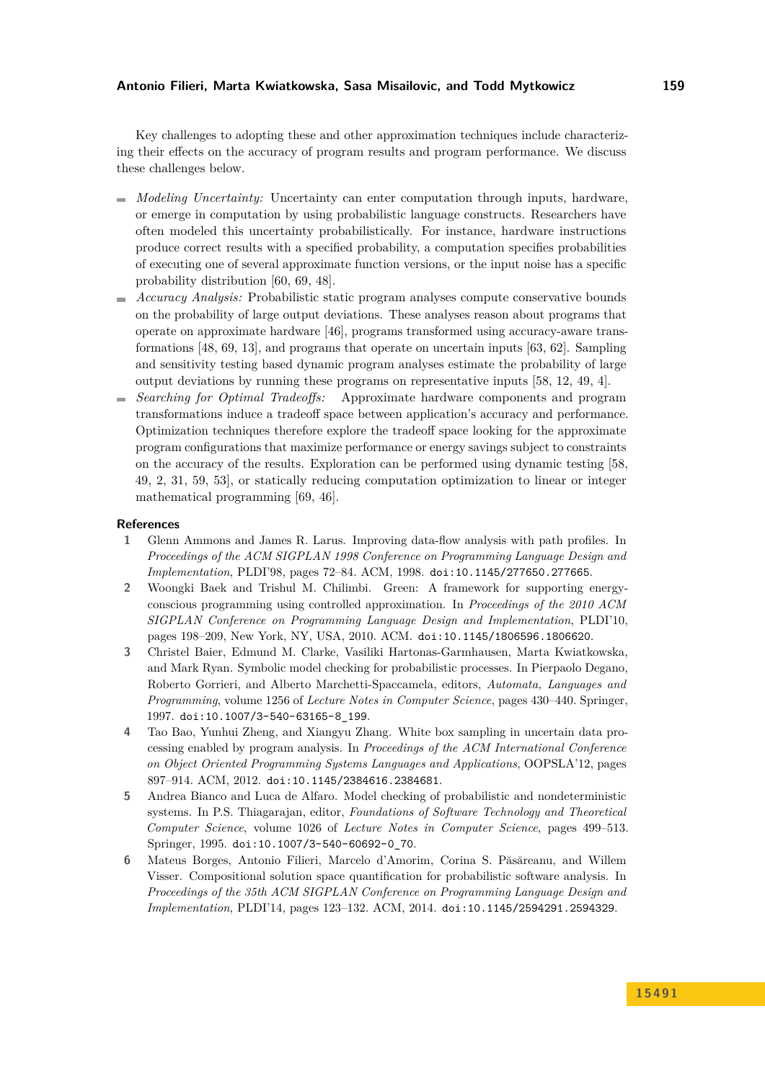Key challenges to adopting these and other approximation techniques include characterizing their effects on the accuracy of program results and program performance. We discuss these challenges below.

- *Modeling Uncertainty:* Uncertainty can enter computation through inputs, hardware, or emerge in computation by using probabilistic language constructs. Researchers have often modeled this uncertainty probabilistically. For instance, hardware instructions produce correct results with a specified probability, a computation specifies probabilities of executing one of several approximate function versions, or the input noise has a specific probability distribution [\[60,](#page-12-11) [69,](#page-13-6) [48\]](#page-11-13).
- *Accuracy Analysis:* Probabilistic static program analyses compute conservative bounds on the probability of large output deviations. These analyses reason about programs that operate on approximate hardware [\[46\]](#page-11-12), programs transformed using accuracy-aware transformations [\[48,](#page-11-13) [69,](#page-13-6) [13\]](#page-9-10), and programs that operate on uncertain inputs [\[63,](#page-13-8) [62\]](#page-12-12). Sampling and sensitivity testing based dynamic program analyses estimate the probability of large output deviations by running these programs on representative inputs [\[58,](#page-12-8) [12,](#page-9-12) [49,](#page-12-9) [4\]](#page-8-5).
- *Searching for Optimal Tradeoffs:* Approximate hardware components and program transformations induce a tradeoff space between application's accuracy and performance. Optimization techniques therefore explore the tradeoff space looking for the approximate program configurations that maximize performance or energy savings subject to constraints on the accuracy of the results. Exploration can be performed using dynamic testing [\[58,](#page-12-8) [49,](#page-12-9) [2,](#page-8-4) [31,](#page-10-14) [59,](#page-12-10) [53\]](#page-12-13), or statically reducing computation optimization to linear or integer mathematical programming [\[69,](#page-13-6) [46\]](#page-11-12).

#### **References**

- <span id="page-8-2"></span>**1** Glenn Ammons and James R. Larus. Improving data-flow analysis with path profiles. In *Proceedings of the ACM SIGPLAN 1998 Conference on Programming Language Design and Implementation*, PLDI'98, pages 72–84. ACM, 1998. [doi:10.1145/277650.277665](http://dx.doi.org/10.1145/277650.277665).
- <span id="page-8-4"></span>**2** Woongki Baek and Trishul M. Chilimbi. Green: A framework for supporting energyconscious programming using controlled approximation. In *Proceedings of the 2010 ACM SIGPLAN Conference on Programming Language Design and Implementation*, PLDI'10, pages 198–209, New York, NY, USA, 2010. ACM. [doi:10.1145/1806596.1806620](http://dx.doi.org/10.1145/1806596.1806620).
- <span id="page-8-1"></span>**3** Christel Baier, Edmund M. Clarke, Vasiliki Hartonas-Garmhausen, Marta Kwiatkowska, and Mark Ryan. Symbolic model checking for probabilistic processes. In Pierpaolo Degano, Roberto Gorrieri, and Alberto Marchetti-Spaccamela, editors, *Automata, Languages and Programming*, volume 1256 of *Lecture Notes in Computer Science*, pages 430–440. Springer, 1997. [doi:10.1007/3-540-63165-8\\_199](http://dx.doi.org/10.1007/3-540-63165-8_199).
- <span id="page-8-5"></span>**4** Tao Bao, Yunhui Zheng, and Xiangyu Zhang. White box sampling in uncertain data processing enabled by program analysis. In *Proceedings of the ACM International Conference on Object Oriented Programming Systems Languages and Applications*, OOPSLA'12, pages 897–914. ACM, 2012. [doi:10.1145/2384616.2384681](http://dx.doi.org/10.1145/2384616.2384681).
- <span id="page-8-0"></span>**5** Andrea Bianco and Luca de Alfaro. Model checking of probabilistic and nondeterministic systems. In P.S. Thiagarajan, editor, *Foundations of Software Technology and Theoretical Computer Science*, volume 1026 of *Lecture Notes in Computer Science*, pages 499–513. Springer, 1995. [doi:10.1007/3-540-60692-0\\_70](http://dx.doi.org/10.1007/3-540-60692-0_70).
- <span id="page-8-3"></span>**6** Mateus Borges, Antonio Filieri, Marcelo d'Amorim, Corina S. Păsăreanu, and Willem Visser. Compositional solution space quantification for probabilistic software analysis. In *Proceedings of the 35th ACM SIGPLAN Conference on Programming Language Design and Implementation*, PLDI'14, pages 123–132. ACM, 2014. [doi:10.1145/2594291.2594329](http://dx.doi.org/10.1145/2594291.2594329).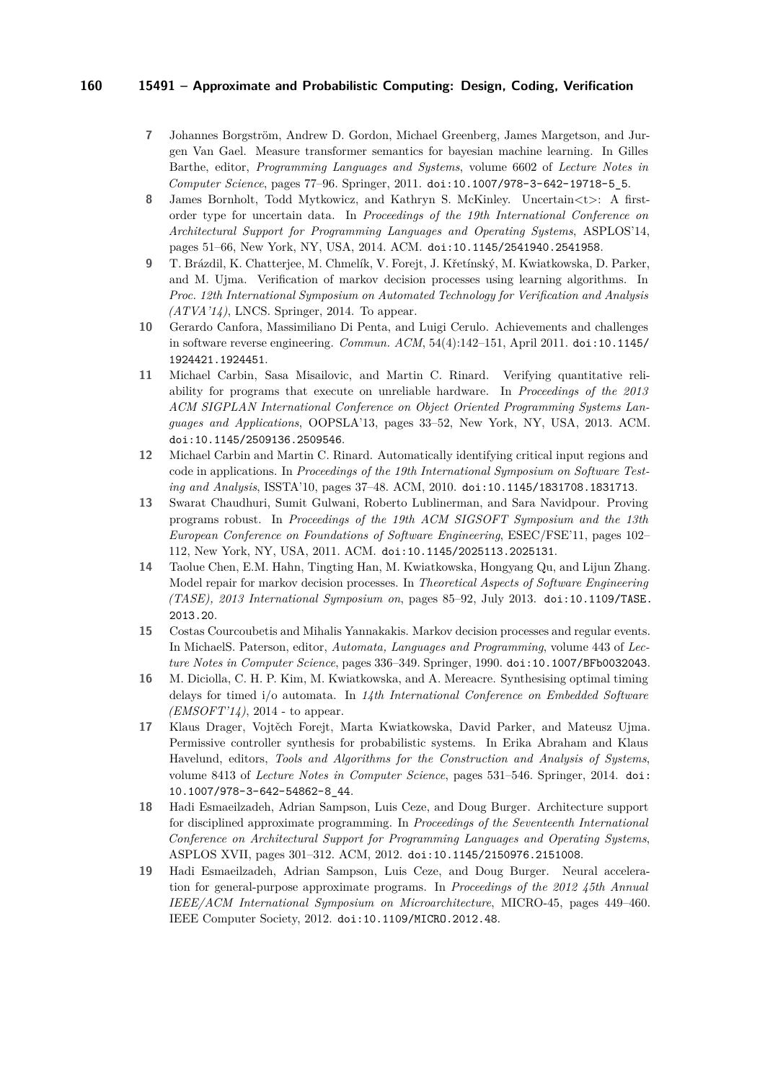- <span id="page-9-6"></span>**7** Johannes Borgström, Andrew D. Gordon, Michael Greenberg, James Margetson, and Jurgen Van Gael. Measure transformer semantics for bayesian machine learning. In Gilles Barthe, editor, *Programming Languages and Systems*, volume 6602 of *Lecture Notes in Computer Science*, pages 77–96. Springer, 2011. [doi:10.1007/978-3-642-19718-5\\_5](http://dx.doi.org/10.1007/978-3-642-19718-5_5).
- <span id="page-9-7"></span>**8** James Bornholt, Todd Mytkowicz, and Kathryn S. McKinley. Uncertain<t>: A firstorder type for uncertain data. In *Proceedings of the 19th International Conference on Architectural Support for Programming Languages and Operating Systems*, ASPLOS'14, pages 51–66, New York, NY, USA, 2014. ACM. [doi:10.1145/2541940.2541958](http://dx.doi.org/10.1145/2541940.2541958).
- <span id="page-9-4"></span>**9** T. Brázdil, K. Chatterjee, M. Chmelík, V. Forejt, J. Křetínský, M. Kwiatkowska, D. Parker, and M. Ujma. Verification of markov decision processes using learning algorithms. In *Proc. 12th International Symposium on Automated Technology for Verification and Analysis (ATVA'14)*, LNCS. Springer, 2014. To appear.
- <span id="page-9-5"></span>**10** Gerardo Canfora, Massimiliano Di Penta, and Luigi Cerulo. Achievements and challenges in software reverse engineering. *Commun. ACM*, 54(4):142–151, April 2011. [doi:10.1145/](http://dx.doi.org/10.1145/1924421.1924451) [1924421.1924451](http://dx.doi.org/10.1145/1924421.1924451).
- <span id="page-9-11"></span>**11** Michael Carbin, Sasa Misailovic, and Martin C. Rinard. Verifying quantitative reliability for programs that execute on unreliable hardware. In *Proceedings of the 2013 ACM SIGPLAN International Conference on Object Oriented Programming Systems Languages and Applications*, OOPSLA'13, pages 33–52, New York, NY, USA, 2013. ACM. [doi:10.1145/2509136.2509546](http://dx.doi.org/10.1145/2509136.2509546).
- <span id="page-9-12"></span>**12** Michael Carbin and Martin C. Rinard. Automatically identifying critical input regions and code in applications. In *Proceedings of the 19th International Symposium on Software Testing and Analysis*, ISSTA'10, pages 37–48. ACM, 2010. [doi:10.1145/1831708.1831713](http://dx.doi.org/10.1145/1831708.1831713).
- <span id="page-9-10"></span>**13** Swarat Chaudhuri, Sumit Gulwani, Roberto Lublinerman, and Sara Navidpour. Proving programs robust. In *Proceedings of the 19th ACM SIGSOFT Symposium and the 13th European Conference on Foundations of Software Engineering*, ESEC/FSE'11, pages 102– 112, New York, NY, USA, 2011. ACM. [doi:10.1145/2025113.2025131](http://dx.doi.org/10.1145/2025113.2025131).
- <span id="page-9-0"></span>**14** Taolue Chen, E.M. Hahn, Tingting Han, M. Kwiatkowska, Hongyang Qu, and Lijun Zhang. Model repair for markov decision processes. In *Theoretical Aspects of Software Engineering (TASE), 2013 International Symposium on*, pages 85–92, July 2013. [doi:10.1109/TASE.](http://dx.doi.org/10.1109/TASE.2013.20) [2013.20](http://dx.doi.org/10.1109/TASE.2013.20).
- <span id="page-9-3"></span>**15** Costas Courcoubetis and Mihalis Yannakakis. Markov decision processes and regular events. In MichaelS. Paterson, editor, *Automata, Languages and Programming*, volume 443 of *Lecture Notes in Computer Science*, pages 336–349. Springer, 1990. [doi:10.1007/BFb0032043](http://dx.doi.org/10.1007/BFb0032043).
- <span id="page-9-1"></span>**16** M. Diciolla, C. H. P. Kim, M. Kwiatkowska, and A. Mereacre. Synthesising optimal timing delays for timed i/o automata. In *14th International Conference on Embedded Software (EMSOFT'14)*, 2014 - to appear.
- <span id="page-9-2"></span>**17** Klaus Drager, Vojtěch Forejt, Marta Kwiatkowska, David Parker, and Mateusz Ujma. Permissive controller synthesis for probabilistic systems. In Erika Abraham and Klaus Havelund, editors, *Tools and Algorithms for the Construction and Analysis of Systems*, volume 8413 of *Lecture Notes in Computer Science*, pages 531–546. Springer, 2014. [doi:](http://dx.doi.org/10.1007/978-3-642-54862-8_44) [10.1007/978-3-642-54862-8\\_44](http://dx.doi.org/10.1007/978-3-642-54862-8_44).
- <span id="page-9-9"></span>**18** Hadi Esmaeilzadeh, Adrian Sampson, Luis Ceze, and Doug Burger. Architecture support for disciplined approximate programming. In *Proceedings of the Seventeenth International Conference on Architectural Support for Programming Languages and Operating Systems*, ASPLOS XVII, pages 301–312. ACM, 2012. [doi:10.1145/2150976.2151008](http://dx.doi.org/10.1145/2150976.2151008).
- <span id="page-9-8"></span>**19** Hadi Esmaeilzadeh, Adrian Sampson, Luis Ceze, and Doug Burger. Neural acceleration for general-purpose approximate programs. In *Proceedings of the 2012 45th Annual IEEE/ACM International Symposium on Microarchitecture*, MICRO-45, pages 449–460. IEEE Computer Society, 2012. [doi:10.1109/MICRO.2012.48](http://dx.doi.org/10.1109/MICRO.2012.48).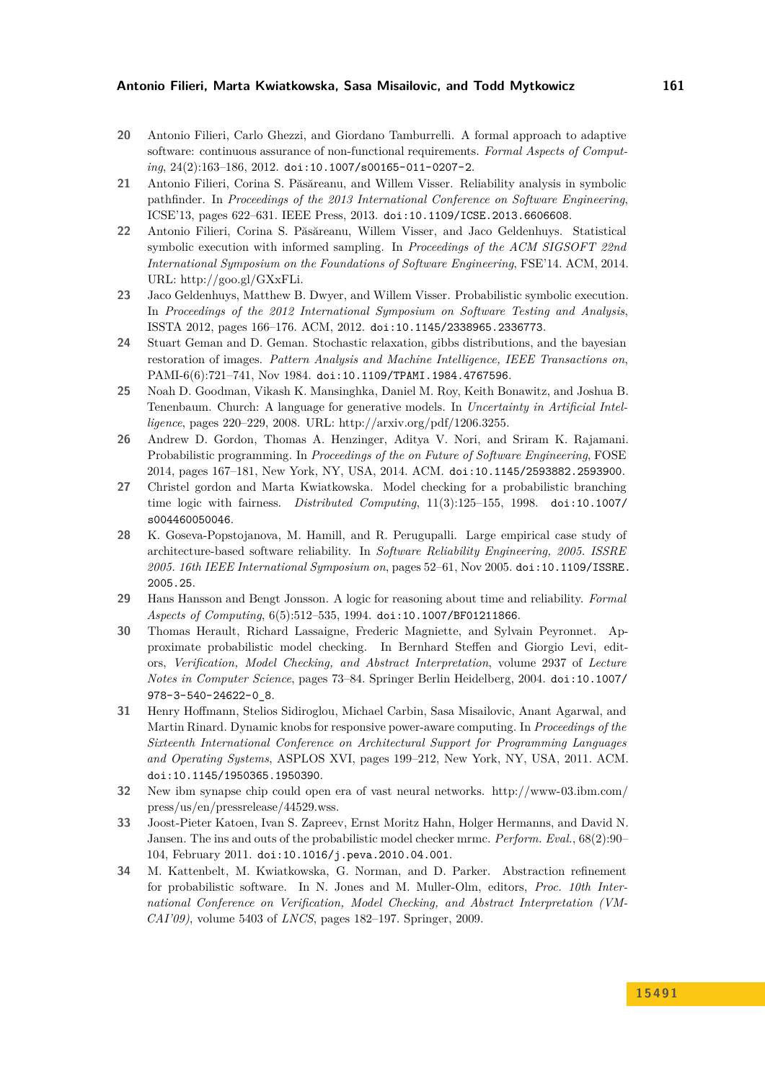- <span id="page-10-6"></span>**20** Antonio Filieri, Carlo Ghezzi, and Giordano Tamburrelli. A formal approach to adaptive software: continuous assurance of non-functional requirements. *Formal Aspects of Computing*, 24(2):163–186, 2012. [doi:10.1007/s00165-011-0207-2](http://dx.doi.org/10.1007/s00165-011-0207-2).
- <span id="page-10-8"></span>**21** Antonio Filieri, Corina S. Păsăreanu, and Willem Visser. Reliability analysis in symbolic pathfinder. In *Proceedings of the 2013 International Conference on Software Engineering*, ICSE'13, pages 622–631. IEEE Press, 2013. [doi:10.1109/ICSE.2013.6606608](http://dx.doi.org/10.1109/ICSE.2013.6606608).
- <span id="page-10-9"></span>**22** Antonio Filieri, Corina S. Păsăreanu, Willem Visser, and Jaco Geldenhuys. Statistical symbolic execution with informed sampling. In *Proceedings of the ACM SIGSOFT 22nd International Symposium on the Foundations of Software Engineering*, FSE'14. ACM, 2014. URL: [http://goo.gl/GXxFLi.](http://goo.gl/GXxFLi)
- <span id="page-10-7"></span>**23** Jaco Geldenhuys, Matthew B. Dwyer, and Willem Visser. Probabilistic symbolic execution. In *Proceedings of the 2012 International Symposium on Software Testing and Analysis*, ISSTA 2012, pages 166–176. ACM, 2012. [doi:10.1145/2338965.2336773](http://dx.doi.org/10.1145/2338965.2336773).
- <span id="page-10-12"></span>**24** Stuart Geman and D. Geman. Stochastic relaxation, gibbs distributions, and the bayesian restoration of images. *Pattern Analysis and Machine Intelligence, IEEE Transactions on*, PAMI-6(6):721–741, Nov 1984. [doi:10.1109/TPAMI.1984.4767596](http://dx.doi.org/10.1109/TPAMI.1984.4767596).
- <span id="page-10-11"></span>**25** Noah D. Goodman, Vikash K. Mansinghka, Daniel M. Roy, Keith Bonawitz, and Joshua B. Tenenbaum. Church: A language for generative models. In *Uncertainty in Artificial Intelligence*, pages 220–229, 2008. URL: [http://arxiv.org/pdf/1206.3255.](http://arxiv.org/pdf/1206.3255)
- <span id="page-10-10"></span>**26** Andrew D. Gordon, Thomas A. Henzinger, Aditya V. Nori, and Sriram K. Rajamani. Probabilistic programming. In *Proceedings of the on Future of Software Engineering*, FOSE 2014, pages 167–181, New York, NY, USA, 2014. ACM. [doi:10.1145/2593882.2593900](http://dx.doi.org/10.1145/2593882.2593900).
- <span id="page-10-1"></span>**27** Christel gordon and Marta Kwiatkowska. Model checking for a probabilistic branching time logic with fairness. *Distributed Computing*, 11(3):125–155, 1998. [doi:10.1007/](http://dx.doi.org/10.1007/s004460050046) [s004460050046](http://dx.doi.org/10.1007/s004460050046).
- <span id="page-10-5"></span>**28** K. Goseva-Popstojanova, M. Hamill, and R. Perugupalli. Large empirical case study of architecture-based software reliability. In *Software Reliability Engineering, 2005. ISSRE 2005. 16th IEEE International Symposium on*, pages 52–61, Nov 2005. [doi:10.1109/ISSRE.](http://dx.doi.org/10.1109/ISSRE.2005.25) [2005.25](http://dx.doi.org/10.1109/ISSRE.2005.25).
- <span id="page-10-0"></span>**29** Hans Hansson and Bengt Jonsson. A logic for reasoning about time and reliability. *Formal Aspects of Computing*, 6(5):512–535, 1994. [doi:10.1007/BF01211866](http://dx.doi.org/10.1007/BF01211866).
- <span id="page-10-3"></span>**30** Thomas Herault, Richard Lassaigne, Frederic Magniette, and Sylvain Peyronnet. Approximate probabilistic model checking. In Bernhard Steffen and Giorgio Levi, editors, *Verification, Model Checking, and Abstract Interpretation*, volume 2937 of *Lecture Notes in Computer Science*, pages 73–84. Springer Berlin Heidelberg, 2004. [doi:10.1007/](http://dx.doi.org/10.1007/978-3-540-24622-0_8) [978-3-540-24622-0\\_8](http://dx.doi.org/10.1007/978-3-540-24622-0_8).
- <span id="page-10-14"></span>**31** Henry Hoffmann, Stelios Sidiroglou, Michael Carbin, Sasa Misailovic, Anant Agarwal, and Martin Rinard. Dynamic knobs for responsive power-aware computing. In *Proceedings of the Sixteenth International Conference on Architectural Support for Programming Languages and Operating Systems*, ASPLOS XVI, pages 199–212, New York, NY, USA, 2011. ACM. [doi:10.1145/1950365.1950390](http://dx.doi.org/10.1145/1950365.1950390).
- <span id="page-10-13"></span>**32** New ibm synapse chip could open era of vast neural networks. [http://www-03.ibm.com/](http://www-03.ibm.com/press/us/en/pressrelease/44529.wss) [press/us/en/pressrelease/44529.wss.](http://www-03.ibm.com/press/us/en/pressrelease/44529.wss)
- <span id="page-10-4"></span>**33** Joost-Pieter Katoen, Ivan S. Zapreev, Ernst Moritz Hahn, Holger Hermanns, and David N. Jansen. The ins and outs of the probabilistic model checker mrmc. *Perform. Eval.*, 68(2):90– 104, February 2011. [doi:10.1016/j.peva.2010.04.001](http://dx.doi.org/10.1016/j.peva.2010.04.001).
- <span id="page-10-2"></span>**34** M. Kattenbelt, M. Kwiatkowska, G. Norman, and D. Parker. Abstraction refinement for probabilistic software. In N. Jones and M. Muller-Olm, editors, *Proc. 10th International Conference on Verification, Model Checking, and Abstract Interpretation (VM-CAI'09)*, volume 5403 of *LNCS*, pages 182–197. Springer, 2009.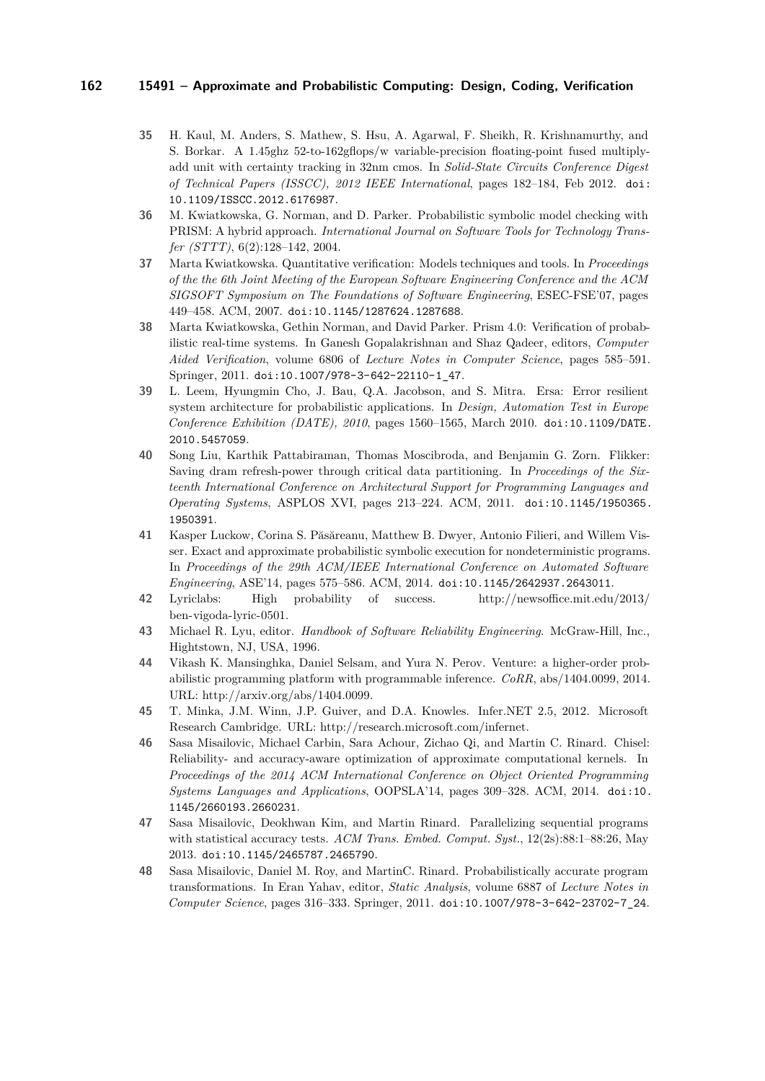- <span id="page-11-9"></span>**35** H. Kaul, M. Anders, S. Mathew, S. Hsu, A. Agarwal, F. Sheikh, R. Krishnamurthy, and S. Borkar. A 1.45ghz 52-to-162gflops/w variable-precision floating-point fused multiplyadd unit with certainty tracking in 32nm cmos. In *Solid-State Circuits Conference Digest of Technical Papers (ISSCC), 2012 IEEE International*, pages 182–184, Feb 2012. [doi:](http://dx.doi.org/10.1109/ISSCC.2012.6176987) [10.1109/ISSCC.2012.6176987](http://dx.doi.org/10.1109/ISSCC.2012.6176987).
- <span id="page-11-1"></span>**36** M. Kwiatkowska, G. Norman, and D. Parker. Probabilistic symbolic model checking with PRISM: A hybrid approach. *International Journal on Software Tools for Technology Transfer (STTT)*, 6(2):128–142, 2004.
- <span id="page-11-0"></span>**37** Marta Kwiatkowska. Quantitative verification: Models techniques and tools. In *Proceedings of the the 6th Joint Meeting of the European Software Engineering Conference and the ACM SIGSOFT Symposium on The Foundations of Software Engineering*, ESEC-FSE'07, pages 449–458. ACM, 2007. [doi:10.1145/1287624.1287688](http://dx.doi.org/10.1145/1287624.1287688).
- <span id="page-11-2"></span>**38** Marta Kwiatkowska, Gethin Norman, and David Parker. Prism 4.0: Verification of probabilistic real-time systems. In Ganesh Gopalakrishnan and Shaz Qadeer, editors, *Computer Aided Verification*, volume 6806 of *Lecture Notes in Computer Science*, pages 585–591. Springer, 2011. [doi:10.1007/978-3-642-22110-1\\_47](http://dx.doi.org/10.1007/978-3-642-22110-1_47).
- <span id="page-11-7"></span>**39** L. Leem, Hyungmin Cho, J. Bau, Q.A. Jacobson, and S. Mitra. Ersa: Error resilient system architecture for probabilistic applications. In *Design, Automation Test in Europe Conference Exhibition (DATE), 2010*, pages 1560–1565, March 2010. [doi:10.1109/DATE.](http://dx.doi.org/10.1109/DATE.2010.5457059) [2010.5457059](http://dx.doi.org/10.1109/DATE.2010.5457059).
- <span id="page-11-8"></span>**40** Song Liu, Karthik Pattabiraman, Thomas Moscibroda, and Benjamin G. Zorn. Flikker: Saving dram refresh-power through critical data partitioning. In *Proceedings of the Sixteenth International Conference on Architectural Support for Programming Languages and Operating Systems*, ASPLOS XVI, pages 213–224. ACM, 2011. [doi:10.1145/1950365.](http://dx.doi.org/10.1145/1950365.1950391) [1950391](http://dx.doi.org/10.1145/1950365.1950391).
- <span id="page-11-4"></span>**41** Kasper Luckow, Corina S. Păsăreanu, Matthew B. Dwyer, Antonio Filieri, and Willem Visser. Exact and approximate probabilistic symbolic execution for nondeterministic programs. In *Proceedings of the 29th ACM/IEEE International Conference on Automated Software Engineering*, ASE'14, pages 575–586. ACM, 2014. [doi:10.1145/2642937.2643011](http://dx.doi.org/10.1145/2642937.2643011).
- <span id="page-11-10"></span>**42** Lyriclabs: High probability of success. [http://newsoffice.mit.edu/2013/](http://newsoffice.mit.edu/2013/ben-vigoda-lyric-0501) [ben-vigoda-lyric-0501.](http://newsoffice.mit.edu/2013/ben-vigoda-lyric-0501)
- <span id="page-11-3"></span>**43** Michael R. Lyu, editor. *Handbook of Software Reliability Engineering*. McGraw-Hill, Inc., Hightstown, NJ, USA, 1996.
- <span id="page-11-5"></span>**44** Vikash K. Mansinghka, Daniel Selsam, and Yura N. Perov. Venture: a higher-order probabilistic programming platform with programmable inference. *CoRR*, abs/1404.0099, 2014. URL: [http://arxiv.org/abs/1404.0099.](http://arxiv.org/abs/1404.0099)
- <span id="page-11-6"></span>**45** T. Minka, J.M. Winn, J.P. Guiver, and D.A. Knowles. Infer.NET 2.5, 2012. Microsoft Research Cambridge. URL: [http://research.microsoft.com/infernet.](http://research.microsoft.com/infernet)
- <span id="page-11-12"></span>**46** Sasa Misailovic, Michael Carbin, Sara Achour, Zichao Qi, and Martin C. Rinard. Chisel: Reliability- and accuracy-aware optimization of approximate computational kernels. In *Proceedings of the 2014 ACM International Conference on Object Oriented Programming Systems Languages and Applications*, OOPSLA'14, pages 309–328. ACM, 2014. [doi:10.](http://dx.doi.org/10.1145/2660193.2660231) [1145/2660193.2660231](http://dx.doi.org/10.1145/2660193.2660231).
- <span id="page-11-11"></span>**47** Sasa Misailovic, Deokhwan Kim, and Martin Rinard. Parallelizing sequential programs with statistical accuracy tests. *ACM Trans. Embed. Comput. Syst.*, 12(2s):88:1–88:26, May 2013. [doi:10.1145/2465787.2465790](http://dx.doi.org/10.1145/2465787.2465790).
- <span id="page-11-13"></span>**48** Sasa Misailovic, Daniel M. Roy, and MartinC. Rinard. Probabilistically accurate program transformations. In Eran Yahav, editor, *Static Analysis*, volume 6887 of *Lecture Notes in Computer Science*, pages 316–333. Springer, 2011. [doi:10.1007/978-3-642-23702-7\\_24](http://dx.doi.org/10.1007/978-3-642-23702-7_24).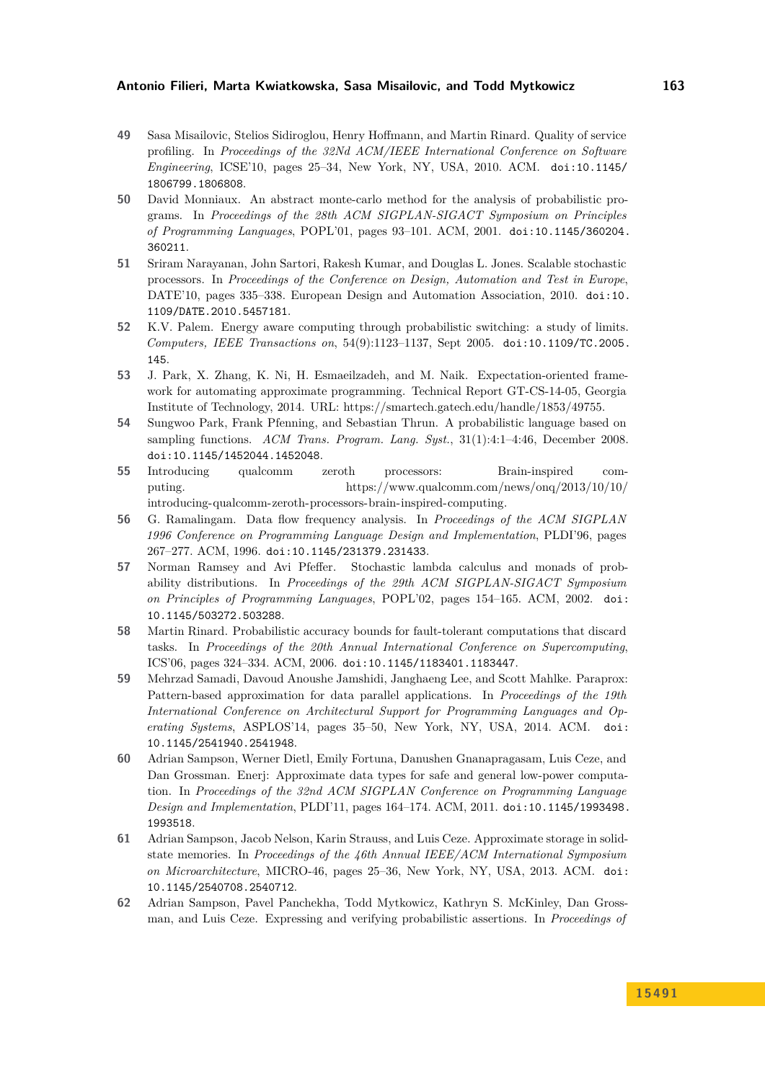- <span id="page-12-9"></span>**49** Sasa Misailovic, Stelios Sidiroglou, Henry Hoffmann, and Martin Rinard. Quality of service profiling. In *Proceedings of the 32Nd ACM/IEEE International Conference on Software Engineering*, ICSE'10, pages 25–34, New York, NY, USA, 2010. ACM. [doi:10.1145/](http://dx.doi.org/10.1145/1806799.1806808) [1806799.1806808](http://dx.doi.org/10.1145/1806799.1806808).
- <span id="page-12-1"></span>**50** David Monniaux. An abstract monte-carlo method for the analysis of probabilistic programs. In *Proceedings of the 28th ACM SIGPLAN-SIGACT Symposium on Principles of Programming Languages*, POPL'01, pages 93–101. ACM, 2001. [doi:10.1145/360204.](http://dx.doi.org/10.1145/360204.360211) [360211](http://dx.doi.org/10.1145/360204.360211).
- <span id="page-12-4"></span>**51** Sriram Narayanan, John Sartori, Rakesh Kumar, and Douglas L. Jones. Scalable stochastic processors. In *Proceedings of the Conference on Design, Automation and Test in Europe*, DATE'10, pages 335–338. European Design and Automation Association, 2010. [doi:10.](http://dx.doi.org/10.1109/DATE.2010.5457181) [1109/DATE.2010.5457181](http://dx.doi.org/10.1109/DATE.2010.5457181).
- <span id="page-12-5"></span>**52** K.V. Palem. Energy aware computing through probabilistic switching: a study of limits. *Computers, IEEE Transactions on*, 54(9):1123–1137, Sept 2005. [doi:10.1109/TC.2005.](http://dx.doi.org/10.1109/TC.2005.145) [145](http://dx.doi.org/10.1109/TC.2005.145).
- <span id="page-12-13"></span>**53** J. Park, X. Zhang, K. Ni, H. Esmaeilzadeh, and M. Naik. Expectation-oriented framework for automating approximate programming. Technical Report GT-CS-14-05, Georgia Institute of Technology, 2014. URL: [https://smartech.gatech.edu/handle/1853/49755.](https://smartech.gatech.edu/handle/1853/49755)
- <span id="page-12-2"></span>**54** Sungwoo Park, Frank Pfenning, and Sebastian Thrun. A probabilistic language based on sampling functions. *ACM Trans. Program. Lang. Syst.*, 31(1):4:1–4:46, December 2008. [doi:10.1145/1452044.1452048](http://dx.doi.org/10.1145/1452044.1452048).
- <span id="page-12-7"></span>**55** Introducing qualcomm zeroth processors: Brain-inspired computing. [https://www.qualcomm.com/news/onq/2013/10/10/](https://www.qualcomm.com/news/onq/2013/10/10/introducing-qualcomm-zeroth-processors-brain-inspired-computing) [introducing-qualcomm-zeroth-processors-brain-inspired-computing.](https://www.qualcomm.com/news/onq/2013/10/10/introducing-qualcomm-zeroth-processors-brain-inspired-computing)
- <span id="page-12-0"></span>**56** G. Ramalingam. Data flow frequency analysis. In *Proceedings of the ACM SIGPLAN 1996 Conference on Programming Language Design and Implementation*, PLDI'96, pages 267–277. ACM, 1996. [doi:10.1145/231379.231433](http://dx.doi.org/10.1145/231379.231433).
- <span id="page-12-3"></span>**57** Norman Ramsey and Avi Pfeffer. Stochastic lambda calculus and monads of probability distributions. In *Proceedings of the 29th ACM SIGPLAN-SIGACT Symposium on Principles of Programming Languages*, POPL'02, pages 154–165. ACM, 2002. [doi:](http://dx.doi.org/10.1145/503272.503288) [10.1145/503272.503288](http://dx.doi.org/10.1145/503272.503288).
- <span id="page-12-8"></span>**58** Martin Rinard. Probabilistic accuracy bounds for fault-tolerant computations that discard tasks. In *Proceedings of the 20th Annual International Conference on Supercomputing*, ICS'06, pages 324–334. ACM, 2006. [doi:10.1145/1183401.1183447](http://dx.doi.org/10.1145/1183401.1183447).
- <span id="page-12-10"></span>**59** Mehrzad Samadi, Davoud Anoushe Jamshidi, Janghaeng Lee, and Scott Mahlke. Paraprox: Pattern-based approximation for data parallel applications. In *Proceedings of the 19th International Conference on Architectural Support for Programming Languages and Operating Systems*, ASPLOS'14, pages 35–50, New York, NY, USA, 2014. ACM. [doi:](http://dx.doi.org/10.1145/2541940.2541948) [10.1145/2541940.2541948](http://dx.doi.org/10.1145/2541940.2541948).
- <span id="page-12-11"></span>**60** Adrian Sampson, Werner Dietl, Emily Fortuna, Danushen Gnanapragasam, Luis Ceze, and Dan Grossman. Enerj: Approximate data types for safe and general low-power computation. In *Proceedings of the 32nd ACM SIGPLAN Conference on Programming Language Design and Implementation*, PLDI'11, pages 164–174. ACM, 2011. [doi:10.1145/1993498.](http://dx.doi.org/10.1145/1993498.1993518) [1993518](http://dx.doi.org/10.1145/1993498.1993518).
- <span id="page-12-6"></span>**61** Adrian Sampson, Jacob Nelson, Karin Strauss, and Luis Ceze. Approximate storage in solidstate memories. In *Proceedings of the 46th Annual IEEE/ACM International Symposium on Microarchitecture*, MICRO-46, pages 25–36, New York, NY, USA, 2013. ACM. [doi:](http://dx.doi.org/10.1145/2540708.2540712) [10.1145/2540708.2540712](http://dx.doi.org/10.1145/2540708.2540712).
- <span id="page-12-12"></span>**62** Adrian Sampson, Pavel Panchekha, Todd Mytkowicz, Kathryn S. McKinley, Dan Grossman, and Luis Ceze. Expressing and verifying probabilistic assertions. In *Proceedings of*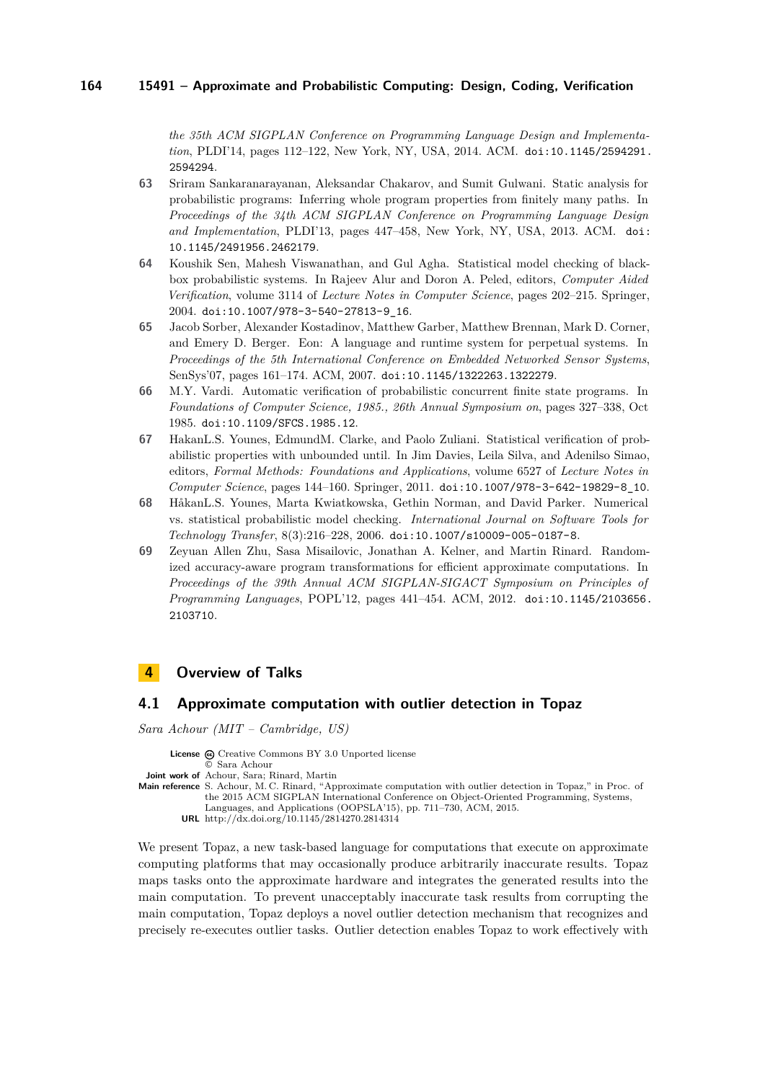*the 35th ACM SIGPLAN Conference on Programming Language Design and Implementation*, PLDI'14, pages 112–122, New York, NY, USA, 2014. ACM. [doi:10.1145/2594291.](http://dx.doi.org/10.1145/2594291.2594294) [2594294](http://dx.doi.org/10.1145/2594291.2594294).

- <span id="page-13-8"></span>**63** Sriram Sankaranarayanan, Aleksandar Chakarov, and Sumit Gulwani. Static analysis for probabilistic programs: Inferring whole program properties from finitely many paths. In *Proceedings of the 34th ACM SIGPLAN Conference on Programming Language Design and Implementation*, PLDI'13, pages 447–458, New York, NY, USA, 2013. ACM. [doi:](http://dx.doi.org/10.1145/2491956.2462179) [10.1145/2491956.2462179](http://dx.doi.org/10.1145/2491956.2462179).
- <span id="page-13-5"></span>**64** Koushik Sen, Mahesh Viswanathan, and Gul Agha. Statistical model checking of blackbox probabilistic systems. In Rajeev Alur and Doron A. Peled, editors, *Computer Aided Verification*, volume 3114 of *Lecture Notes in Computer Science*, pages 202–215. Springer, 2004. [doi:10.1007/978-3-540-27813-9\\_16](http://dx.doi.org/10.1007/978-3-540-27813-9_16).
- <span id="page-13-7"></span>**65** Jacob Sorber, Alexander Kostadinov, Matthew Garber, Matthew Brennan, Mark D. Corner, and Emery D. Berger. Eon: A language and runtime system for perpetual systems. In *Proceedings of the 5th International Conference on Embedded Networked Sensor Systems*, SenSys'07, pages 161–174. ACM, 2007. [doi:10.1145/1322263.1322279](http://dx.doi.org/10.1145/1322263.1322279).
- <span id="page-13-2"></span>**66** M.Y. Vardi. Automatic verification of probabilistic concurrent finite state programs. In *Foundations of Computer Science, 1985., 26th Annual Symposium on*, pages 327–338, Oct 1985. [doi:10.1109/SFCS.1985.12](http://dx.doi.org/10.1109/SFCS.1985.12).
- <span id="page-13-4"></span>**67** HakanL.S. Younes, EdmundM. Clarke, and Paolo Zuliani. Statistical verification of probabilistic properties with unbounded until. In Jim Davies, Leila Silva, and Adenilso Simao, editors, *Formal Methods: Foundations and Applications*, volume 6527 of *Lecture Notes in Computer Science*, pages 144–160. Springer, 2011. [doi:10.1007/978-3-642-19829-8\\_10](http://dx.doi.org/10.1007/978-3-642-19829-8_10).
- <span id="page-13-3"></span>**68** HåkanL.S. Younes, Marta Kwiatkowska, Gethin Norman, and David Parker. Numerical vs. statistical probabilistic model checking. *International Journal on Software Tools for Technology Transfer*, 8(3):216–228, 2006. [doi:10.1007/s10009-005-0187-8](http://dx.doi.org/10.1007/s10009-005-0187-8).
- <span id="page-13-6"></span>**69** Zeyuan Allen Zhu, Sasa Misailovic, Jonathan A. Kelner, and Martin Rinard. Randomized accuracy-aware program transformations for efficient approximate computations. In *Proceedings of the 39th Annual ACM SIGPLAN-SIGACT Symposium on Principles of Programming Languages*, POPL'12, pages 441–454. ACM, 2012. [doi:10.1145/2103656.](http://dx.doi.org/10.1145/2103656.2103710) [2103710](http://dx.doi.org/10.1145/2103656.2103710).

### <span id="page-13-0"></span>**4 Overview of Talks**

#### <span id="page-13-1"></span>**4.1 Approximate computation with outlier detection in Topaz**

*Sara Achour (MIT – Cambridge, US)*

**License**  $\omega$  [Creative Commons BY 3.0 Unported](http://creativecommons.org/licenses/by/3.0/) license © [Sara Achour](#page-13-1) **Joint work of** Achour, Sara; Rinard, Martin **Main reference** [S. Achour, M. C. Rinard, "Approximate computation with outlier detection in Topaz," in Proc. of](http://dx.doi.org/10.1145/2814270.2814314) [the 2015 ACM SIGPLAN International Conference on Object-Oriented Programming, Systems,](http://dx.doi.org/10.1145/2814270.2814314) [Languages, and Applications \(OOPSLA'15\), pp. 711–730, ACM, 2015.](http://dx.doi.org/10.1145/2814270.2814314) **URL** <http://dx.doi.org/10.1145/2814270.2814314>

We present Topaz, a new task-based language for computations that execute on approximate computing platforms that may occasionally produce arbitrarily inaccurate results. Topaz maps tasks onto the approximate hardware and integrates the generated results into the main computation. To prevent unacceptably inaccurate task results from corrupting the main computation, Topaz deploys a novel outlier detection mechanism that recognizes and precisely re-executes outlier tasks. Outlier detection enables Topaz to work effectively with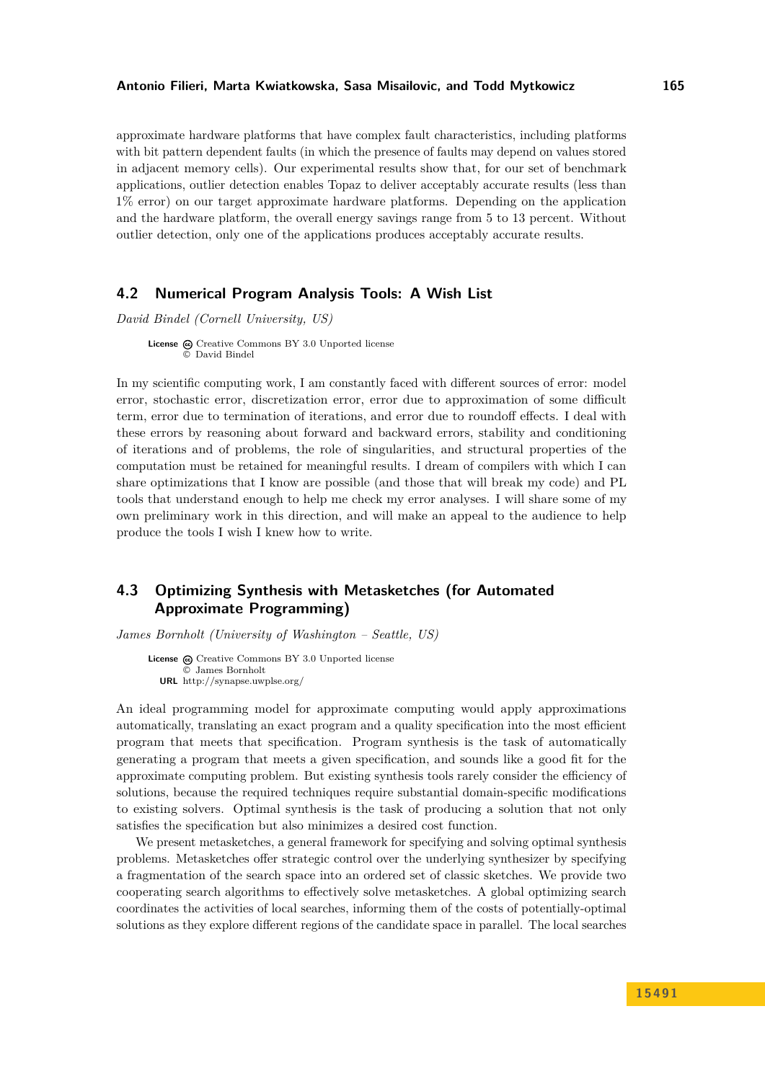#### **Antonio Filieri, Marta Kwiatkowska, Sasa Misailovic, and Todd Mytkowicz 165**

approximate hardware platforms that have complex fault characteristics, including platforms with bit pattern dependent faults (in which the presence of faults may depend on values stored in adjacent memory cells). Our experimental results show that, for our set of benchmark applications, outlier detection enables Topaz to deliver acceptably accurate results (less than 1% error) on our target approximate hardware platforms. Depending on the application and the hardware platform, the overall energy savings range from 5 to 13 percent. Without outlier detection, only one of the applications produces acceptably accurate results.

### <span id="page-14-0"></span>**4.2 Numerical Program Analysis Tools: A Wish List**

*David Bindel (Cornell University, US)*

**License**  $\odot$  [Creative Commons BY 3.0 Unported](http://creativecommons.org/licenses/by/3.0/) license © [David Bindel](#page-14-0)

In my scientific computing work, I am constantly faced with different sources of error: model error, stochastic error, discretization error, error due to approximation of some difficult term, error due to termination of iterations, and error due to roundoff effects. I deal with these errors by reasoning about forward and backward errors, stability and conditioning of iterations and of problems, the role of singularities, and structural properties of the computation must be retained for meaningful results. I dream of compilers with which I can share optimizations that I know are possible (and those that will break my code) and PL tools that understand enough to help me check my error analyses. I will share some of my own preliminary work in this direction, and will make an appeal to the audience to help produce the tools I wish I knew how to write.

### <span id="page-14-1"></span>**4.3 Optimizing Synthesis with Metasketches (for Automated Approximate Programming)**

*James Bornholt (University of Washington – Seattle, US)*

License  $\textcircled{c}$  [Creative Commons BY 3.0 Unported](http://creativecommons.org/licenses/by/3.0/) license © [James Bornholt](#page-14-1) **URL** <http://synapse.uwplse.org/>

An ideal programming model for approximate computing would apply approximations automatically, translating an exact program and a quality specification into the most efficient program that meets that specification. Program synthesis is the task of automatically generating a program that meets a given specification, and sounds like a good fit for the approximate computing problem. But existing synthesis tools rarely consider the efficiency of solutions, because the required techniques require substantial domain-specific modifications to existing solvers. Optimal synthesis is the task of producing a solution that not only satisfies the specification but also minimizes a desired cost function.

We present metasketches, a general framework for specifying and solving optimal synthesis problems. Metasketches offer strategic control over the underlying synthesizer by specifying a fragmentation of the search space into an ordered set of classic sketches. We provide two cooperating search algorithms to effectively solve metasketches. A global optimizing search coordinates the activities of local searches, informing them of the costs of potentially-optimal solutions as they explore different regions of the candidate space in parallel. The local searches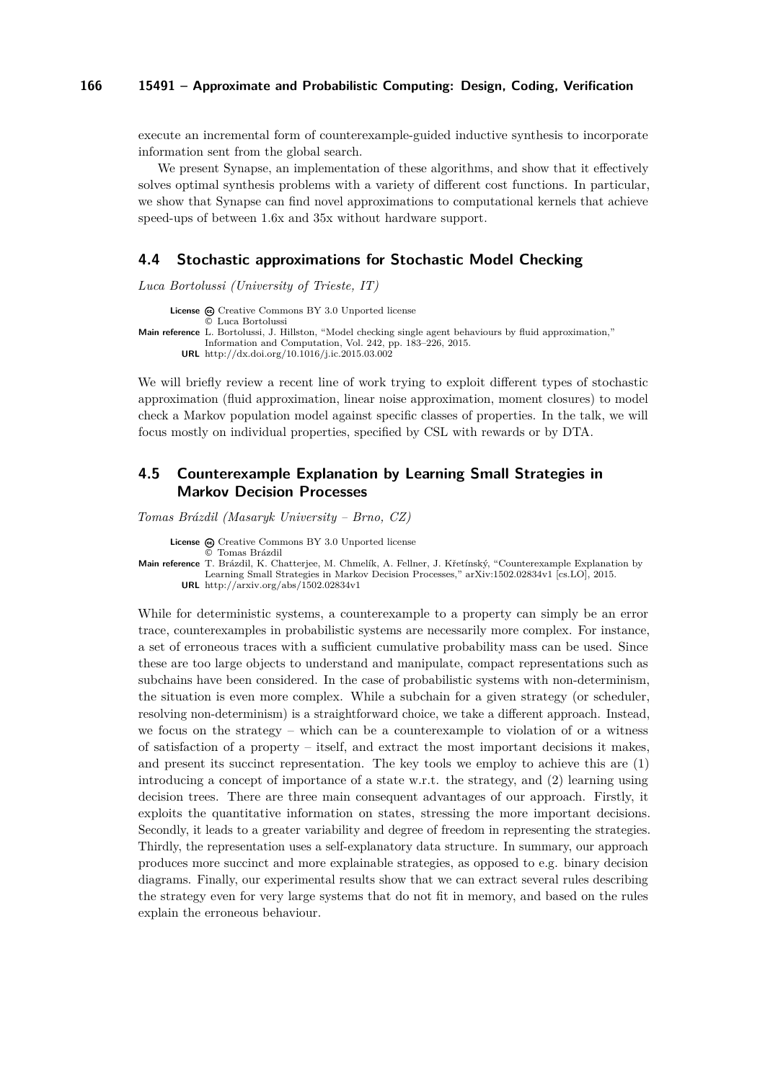execute an incremental form of counterexample-guided inductive synthesis to incorporate information sent from the global search.

We present Synapse, an implementation of these algorithms, and show that it effectively solves optimal synthesis problems with a variety of different cost functions. In particular, we show that Synapse can find novel approximations to computational kernels that achieve speed-ups of between 1.6x and 35x without hardware support.

### <span id="page-15-0"></span>**4.4 Stochastic approximations for Stochastic Model Checking**

*Luca Bortolussi (University of Trieste, IT)*

License  $\textcircled{c}$  [Creative Commons BY 3.0 Unported](http://creativecommons.org/licenses/by/3.0/) license © [Luca Bortolussi](#page-15-0) **Main reference** [L. Bortolussi, J. Hillston, "Model checking single agent behaviours by fluid approximation,"](http://dx.doi.org/10.1016/j.ic.2015.03.002) [Information and Computation, Vol. 242, pp. 183–226, 2015.](http://dx.doi.org/10.1016/j.ic.2015.03.002) **URL** <http://dx.doi.org/10.1016/j.ic.2015.03.002>

We will briefly review a recent line of work trying to exploit different types of stochastic approximation (fluid approximation, linear noise approximation, moment closures) to model check a Markov population model against specific classes of properties. In the talk, we will focus mostly on individual properties, specified by CSL with rewards or by DTA.

### <span id="page-15-1"></span>**4.5 Counterexample Explanation by Learning Small Strategies in Markov Decision Processes**

*Tomas Brázdil (Masaryk University – Brno, CZ)*

License  $\textcircled{c}$  [Creative Commons BY 3.0 Unported](http://creativecommons.org/licenses/by/3.0/) license

© [Tomas Brázdil](#page-15-1)

**Main reference** [T. Brázdil, K. Chatterjee, M. Chmelík, A. Fellner, J. Křetínský, "Counterexample Explanation by](http://arxiv.org/abs/1502.02834v1) [Learning Small Strategies in Markov Decision Processes," arXiv:1502.02834v1 \[cs.LO\], 2015.](http://arxiv.org/abs/1502.02834v1) **URL** <http://arxiv.org/abs/1502.02834v1>

While for deterministic systems, a counterexample to a property can simply be an error trace, counterexamples in probabilistic systems are necessarily more complex. For instance, a set of erroneous traces with a sufficient cumulative probability mass can be used. Since these are too large objects to understand and manipulate, compact representations such as subchains have been considered. In the case of probabilistic systems with non-determinism, the situation is even more complex. While a subchain for a given strategy (or scheduler, resolving non-determinism) is a straightforward choice, we take a different approach. Instead, we focus on the strategy – which can be a counterexample to violation of or a witness of satisfaction of a property – itself, and extract the most important decisions it makes, and present its succinct representation. The key tools we employ to achieve this are (1) introducing a concept of importance of a state w.r.t. the strategy, and (2) learning using decision trees. There are three main consequent advantages of our approach. Firstly, it exploits the quantitative information on states, stressing the more important decisions. Secondly, it leads to a greater variability and degree of freedom in representing the strategies. Thirdly, the representation uses a self-explanatory data structure. In summary, our approach produces more succinct and more explainable strategies, as opposed to e.g. binary decision diagrams. Finally, our experimental results show that we can extract several rules describing the strategy even for very large systems that do not fit in memory, and based on the rules explain the erroneous behaviour.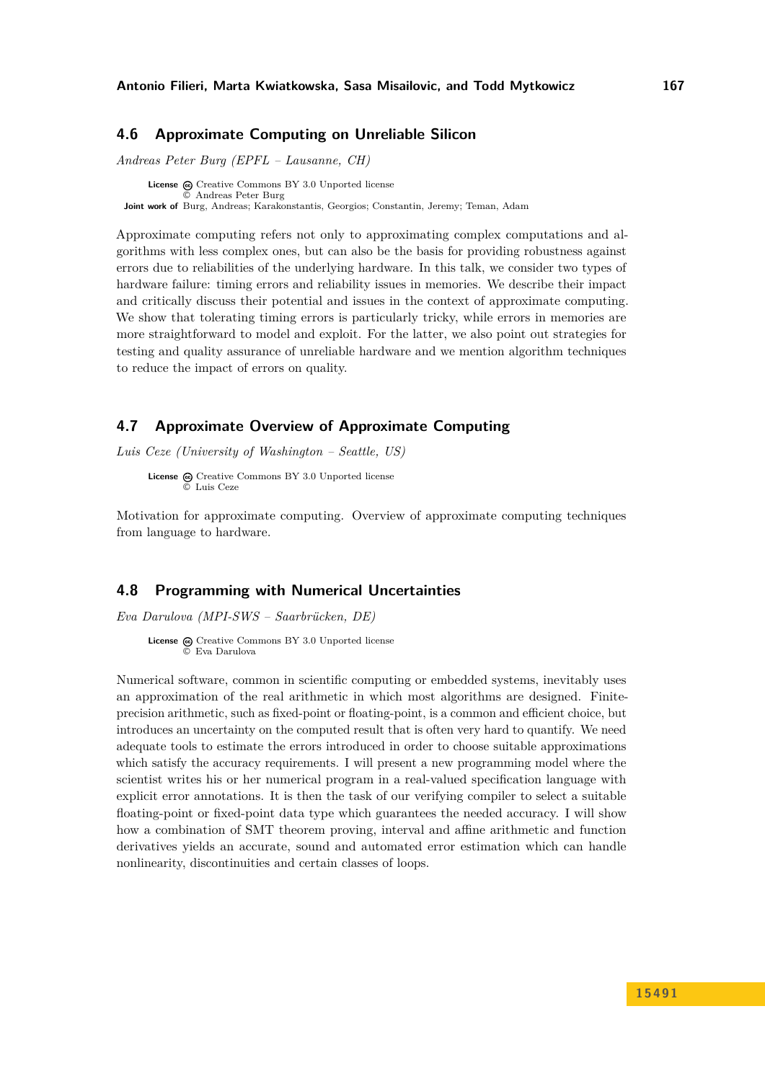### <span id="page-16-0"></span>**4.6 Approximate Computing on Unreliable Silicon**

*Andreas Peter Burg (EPFL – Lausanne, CH)*

**License**  $\odot$  [Creative Commons BY 3.0 Unported](http://creativecommons.org/licenses/by/3.0/) license © [Andreas Peter Burg](#page-16-0) **Joint work of** Burg, Andreas; Karakonstantis, Georgios; Constantin, Jeremy; Teman, Adam

Approximate computing refers not only to approximating complex computations and algorithms with less complex ones, but can also be the basis for providing robustness against errors due to reliabilities of the underlying hardware. In this talk, we consider two types of hardware failure: timing errors and reliability issues in memories. We describe their impact and critically discuss their potential and issues in the context of approximate computing. We show that tolerating timing errors is particularly tricky, while errors in memories are more straightforward to model and exploit. For the latter, we also point out strategies for testing and quality assurance of unreliable hardware and we mention algorithm techniques to reduce the impact of errors on quality.

### <span id="page-16-1"></span>**4.7 Approximate Overview of Approximate Computing**

*Luis Ceze (University of Washington – Seattle, US)*

**License**  $\omega$  [Creative Commons BY 3.0 Unported](http://creativecommons.org/licenses/by/3.0/) license © [Luis Ceze](#page-16-1)

Motivation for approximate computing. Overview of approximate computing techniques from language to hardware.

#### <span id="page-16-2"></span>**4.8 Programming with Numerical Uncertainties**

*Eva Darulova (MPI-SWS – Saarbrücken, DE)*

**License**  $\textcircled{e}$  [Creative Commons BY 3.0 Unported](http://creativecommons.org/licenses/by/3.0/) license © [Eva Darulova](#page-16-2)

Numerical software, common in scientific computing or embedded systems, inevitably uses an approximation of the real arithmetic in which most algorithms are designed. Finiteprecision arithmetic, such as fixed-point or floating-point, is a common and efficient choice, but introduces an uncertainty on the computed result that is often very hard to quantify. We need adequate tools to estimate the errors introduced in order to choose suitable approximations which satisfy the accuracy requirements. I will present a new programming model where the scientist writes his or her numerical program in a real-valued specification language with explicit error annotations. It is then the task of our verifying compiler to select a suitable floating-point or fixed-point data type which guarantees the needed accuracy. I will show how a combination of SMT theorem proving, interval and affine arithmetic and function derivatives yields an accurate, sound and automated error estimation which can handle nonlinearity, discontinuities and certain classes of loops.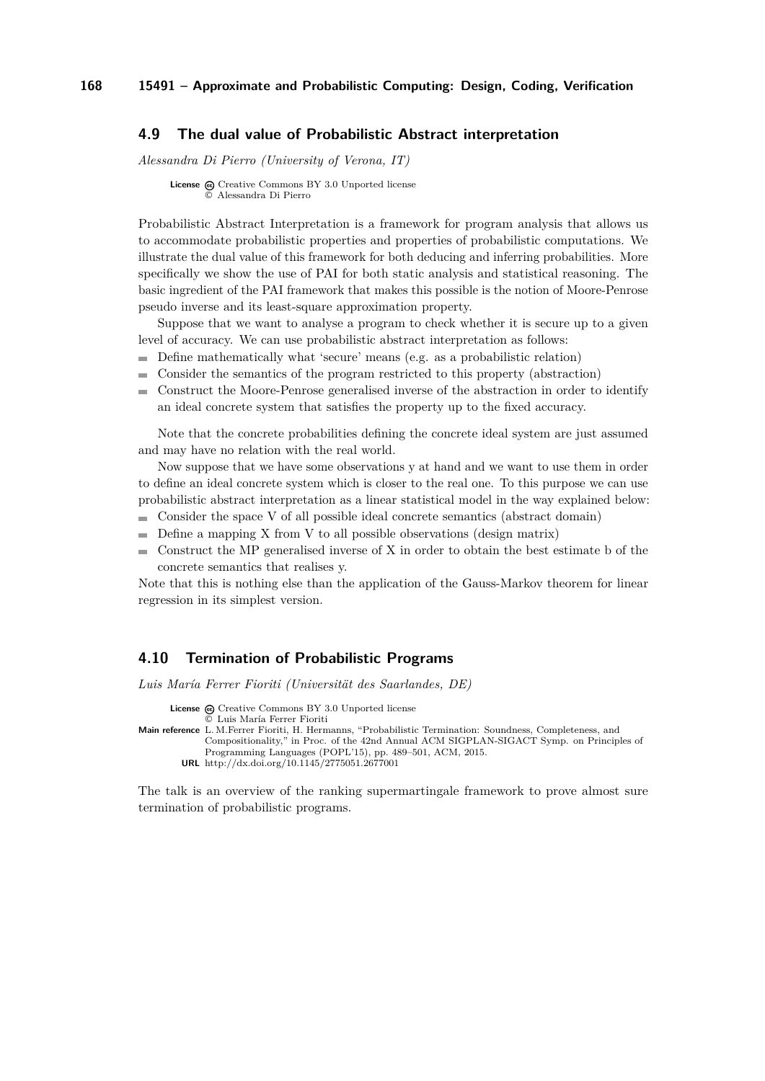### <span id="page-17-0"></span>**4.9 The dual value of Probabilistic Abstract interpretation**

*Alessandra Di Pierro (University of Verona, IT)*

**License**  $\textcircled{c}$  [Creative Commons BY 3.0 Unported](http://creativecommons.org/licenses/by/3.0/) license © [Alessandra Di Pierro](#page-17-0)

Probabilistic Abstract Interpretation is a framework for program analysis that allows us to accommodate probabilistic properties and properties of probabilistic computations. We illustrate the dual value of this framework for both deducing and inferring probabilities. More specifically we show the use of PAI for both static analysis and statistical reasoning. The basic ingredient of the PAI framework that makes this possible is the notion of Moore-Penrose pseudo inverse and its least-square approximation property.

Suppose that we want to analyse a program to check whether it is secure up to a given level of accuracy. We can use probabilistic abstract interpretation as follows:

- Define mathematically what 'secure' means (e.g. as a probabilistic relation)
- Consider the semantics of the program restricted to this property (abstraction)
- Construct the Moore-Penrose generalised inverse of the abstraction in order to identify  $\sim$ an ideal concrete system that satisfies the property up to the fixed accuracy.

Note that the concrete probabilities defining the concrete ideal system are just assumed and may have no relation with the real world.

Now suppose that we have some observations y at hand and we want to use them in order to define an ideal concrete system which is closer to the real one. To this purpose we can use probabilistic abstract interpretation as a linear statistical model in the way explained below:

- Consider the space V of all possible ideal concrete semantics (abstract domain)
- $\blacksquare$  Define a mapping X from V to all possible observations (design matrix)
- Construct the MP generalised inverse of X in order to obtain the best estimate b of the  $\blacksquare$ concrete semantics that realises y.

Note that this is nothing else than the application of the Gauss-Markov theorem for linear regression in its simplest version.

#### <span id="page-17-1"></span>**4.10 Termination of Probabilistic Programs**

*Luis María Ferrer Fioriti (Universität des Saarlandes, DE)*

License  $\circledcirc$  [Creative Commons BY 3.0 Unported](http://creativecommons.org/licenses/by/3.0/) license

```
© Luis María Ferrer Fioriti
```
- **Main reference** [L. M.Ferrer Fioriti, H. Hermanns, "Probabilistic Termination: Soundness, Completeness, and](http://dx.doi.org/10.1145/2775051.2677001) [Compositionality," in Proc. of the 42nd Annual ACM SIGPLAN-SIGACT Symp. on Principles of](http://dx.doi.org/10.1145/2775051.2677001) [Programming Languages \(POPL'15\), pp. 489–501, ACM, 2015.](http://dx.doi.org/10.1145/2775051.2677001)
	- **URL** <http://dx.doi.org/10.1145/2775051.2677001>

The talk is an overview of the ranking supermartingale framework to prove almost sure termination of probabilistic programs.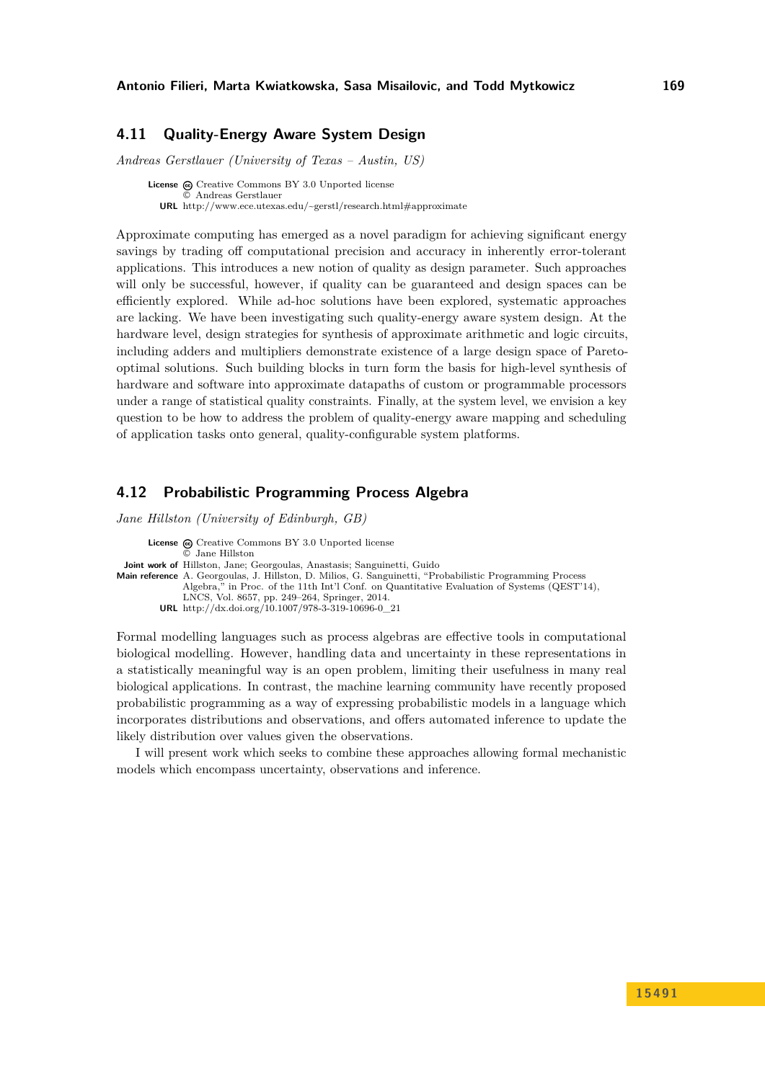### <span id="page-18-0"></span>**4.11 Quality-Energy Aware System Design**

*Andreas Gerstlauer (University of Texas – Austin, US)*

**License**  $\odot$  [Creative Commons BY 3.0 Unported](http://creativecommons.org/licenses/by/3.0/) license © [Andreas Gerstlauer](#page-18-0) **URL** <http://www.ece.utexas.edu/~gerstl/research.html#approximate>

Approximate computing has emerged as a novel paradigm for achieving significant energy savings by trading off computational precision and accuracy in inherently error-tolerant applications. This introduces a new notion of quality as design parameter. Such approaches will only be successful, however, if quality can be guaranteed and design spaces can be efficiently explored. While ad-hoc solutions have been explored, systematic approaches are lacking. We have been investigating such quality-energy aware system design. At the hardware level, design strategies for synthesis of approximate arithmetic and logic circuits, including adders and multipliers demonstrate existence of a large design space of Paretooptimal solutions. Such building blocks in turn form the basis for high-level synthesis of hardware and software into approximate datapaths of custom or programmable processors under a range of statistical quality constraints. Finally, at the system level, we envision a key question to be how to address the problem of quality-energy aware mapping and scheduling of application tasks onto general, quality-configurable system platforms.

### <span id="page-18-1"></span>**4.12 Probabilistic Programming Process Algebra**

*Jane Hillston (University of Edinburgh, GB)*

License  $\odot$  [Creative Commons BY 3.0 Unported](http://creativecommons.org/licenses/by/3.0/) license © [Jane Hillston](#page-18-1) **Joint work of** Hillston, Jane; Georgoulas, Anastasis; Sanguinetti, Guido **Main reference** [A. Georgoulas, J. Hillston, D. Milios, G. Sanguinetti, "Probabilistic Programming Process](http://dx.doi.org/10.1007/978-3-319-10696-0_21) [Algebra," in Proc. of the 11th Int'l Conf. on Quantitative Evaluation of Systems \(QEST'14\),](http://dx.doi.org/10.1007/978-3-319-10696-0_21) [LNCS, Vol. 8657, pp. 249–264, Springer, 2014.](http://dx.doi.org/10.1007/978-3-319-10696-0_21) **URL** [http://dx.doi.org/10.1007/978-3-319-10696-0\\_21](http://dx.doi.org/10.1007/978-3-319-10696-0_21)

Formal modelling languages such as process algebras are effective tools in computational biological modelling. However, handling data and uncertainty in these representations in a statistically meaningful way is an open problem, limiting their usefulness in many real biological applications. In contrast, the machine learning community have recently proposed probabilistic programming as a way of expressing probabilistic models in a language which incorporates distributions and observations, and offers automated inference to update the likely distribution over values given the observations.

I will present work which seeks to combine these approaches allowing formal mechanistic models which encompass uncertainty, observations and inference.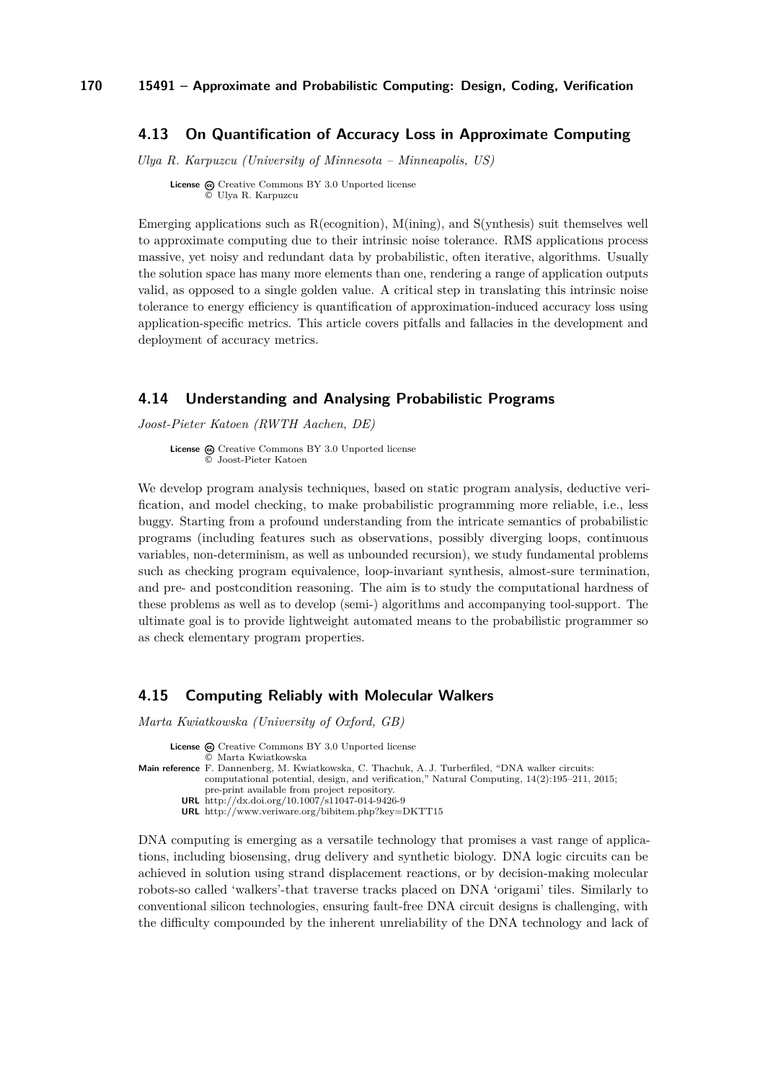### <span id="page-19-0"></span>**4.13 On Quantification of Accuracy Loss in Approximate Computing**

*Ulya R. Karpuzcu (University of Minnesota – Minneapolis, US)*

**License**  $\odot$  [Creative Commons BY 3.0 Unported](http://creativecommons.org/licenses/by/3.0/) license © [Ulya R. Karpuzcu](#page-19-0)

Emerging applications such as  $R$ (ecognition),  $M$ (ining), and  $S$ (vnthesis) suit themselves well to approximate computing due to their intrinsic noise tolerance. RMS applications process massive, yet noisy and redundant data by probabilistic, often iterative, algorithms. Usually the solution space has many more elements than one, rendering a range of application outputs valid, as opposed to a single golden value. A critical step in translating this intrinsic noise tolerance to energy efficiency is quantification of approximation-induced accuracy loss using application-specific metrics. This article covers pitfalls and fallacies in the development and deployment of accuracy metrics.

### <span id="page-19-1"></span>**4.14 Understanding and Analysing Probabilistic Programs**

*Joost-Pieter Katoen (RWTH Aachen, DE)*

License  $\textcircled{c}$  [Creative Commons BY 3.0 Unported](http://creativecommons.org/licenses/by/3.0/) license © [Joost-Pieter Katoen](#page-19-1)

We develop program analysis techniques, based on static program analysis, deductive verification, and model checking, to make probabilistic programming more reliable, i.e., less buggy. Starting from a profound understanding from the intricate semantics of probabilistic programs (including features such as observations, possibly diverging loops, continuous variables, non-determinism, as well as unbounded recursion), we study fundamental problems such as checking program equivalence, loop-invariant synthesis, almost-sure termination, and pre- and postcondition reasoning. The aim is to study the computational hardness of these problems as well as to develop (semi-) algorithms and accompanying tool-support. The ultimate goal is to provide lightweight automated means to the probabilistic programmer so as check elementary program properties.

### <span id="page-19-2"></span>**4.15 Computing Reliably with Molecular Walkers**

*Marta Kwiatkowska (University of Oxford, GB)*

License  $\textcircled{c}$  [Creative Commons BY 3.0 Unported](http://creativecommons.org/licenses/by/3.0/) license © [Marta Kwiatkowska](#page-19-2) **Main reference** [F. Dannenberg, M. Kwiatkowska, C. Thachuk, A. J. Turberfiled, "DNA walker circuits:](http://dx.doi.org/10.1007/s11047-014-9426-9) [computational potential, design, and verification," Natural Computing, 14\(2\):195–211, 2015;](http://dx.doi.org/10.1007/s11047-014-9426-9) [pre-print available from project repository.](http://dx.doi.org/10.1007/s11047-014-9426-9) **URL** <http://dx.doi.org/10.1007/s11047-014-9426-9> **URL** <http://www.veriware.org/bibitem.php?key=DKTT15>

DNA computing is emerging as a versatile technology that promises a vast range of applications, including biosensing, drug delivery and synthetic biology. DNA logic circuits can be achieved in solution using strand displacement reactions, or by decision-making molecular robots-so called 'walkers'-that traverse tracks placed on DNA 'origami' tiles. Similarly to conventional silicon technologies, ensuring fault-free DNA circuit designs is challenging, with the difficulty compounded by the inherent unreliability of the DNA technology and lack of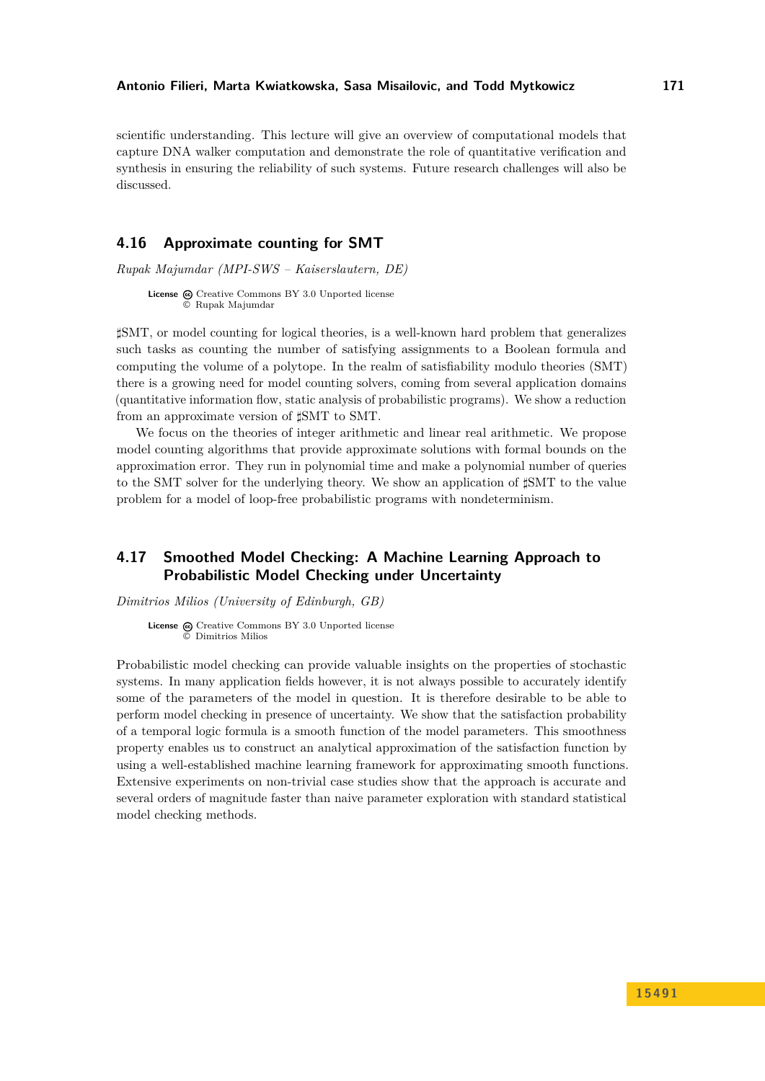scientific understanding. This lecture will give an overview of computational models that capture DNA walker computation and demonstrate the role of quantitative verification and synthesis in ensuring the reliability of such systems. Future research challenges will also be discussed.

### <span id="page-20-0"></span>**4.16 Approximate counting for SMT**

*Rupak Majumdar (MPI-SWS – Kaiserslautern, DE)*

**License**  $\textcircled{e}$  [Creative Commons BY 3.0 Unported](http://creativecommons.org/licenses/by/3.0/) license © [Rupak Majumdar](#page-20-0)

*]*SMT, or model counting for logical theories, is a well-known hard problem that generalizes such tasks as counting the number of satisfying assignments to a Boolean formula and computing the volume of a polytope. In the realm of satisfiability modulo theories (SMT) there is a growing need for model counting solvers, coming from several application domains (quantitative information flow, static analysis of probabilistic programs). We show a reduction from an approximate version of *]*SMT to SMT.

We focus on the theories of integer arithmetic and linear real arithmetic. We propose model counting algorithms that provide approximate solutions with formal bounds on the approximation error. They run in polynomial time and make a polynomial number of queries to the SMT solver for the underlying theory. We show an application of *]*SMT to the value problem for a model of loop-free probabilistic programs with nondeterminism.

### <span id="page-20-1"></span>**4.17 Smoothed Model Checking: A Machine Learning Approach to Probabilistic Model Checking under Uncertainty**

*Dimitrios Milios (University of Edinburgh, GB)*

**License**  $\textcircled{c}$  [Creative Commons BY 3.0 Unported](http://creativecommons.org/licenses/by/3.0/) license © [Dimitrios Milios](#page-20-1)

Probabilistic model checking can provide valuable insights on the properties of stochastic systems. In many application fields however, it is not always possible to accurately identify some of the parameters of the model in question. It is therefore desirable to be able to perform model checking in presence of uncertainty. We show that the satisfaction probability of a temporal logic formula is a smooth function of the model parameters. This smoothness property enables us to construct an analytical approximation of the satisfaction function by using a well-established machine learning framework for approximating smooth functions. Extensive experiments on non-trivial case studies show that the approach is accurate and several orders of magnitude faster than naive parameter exploration with standard statistical model checking methods.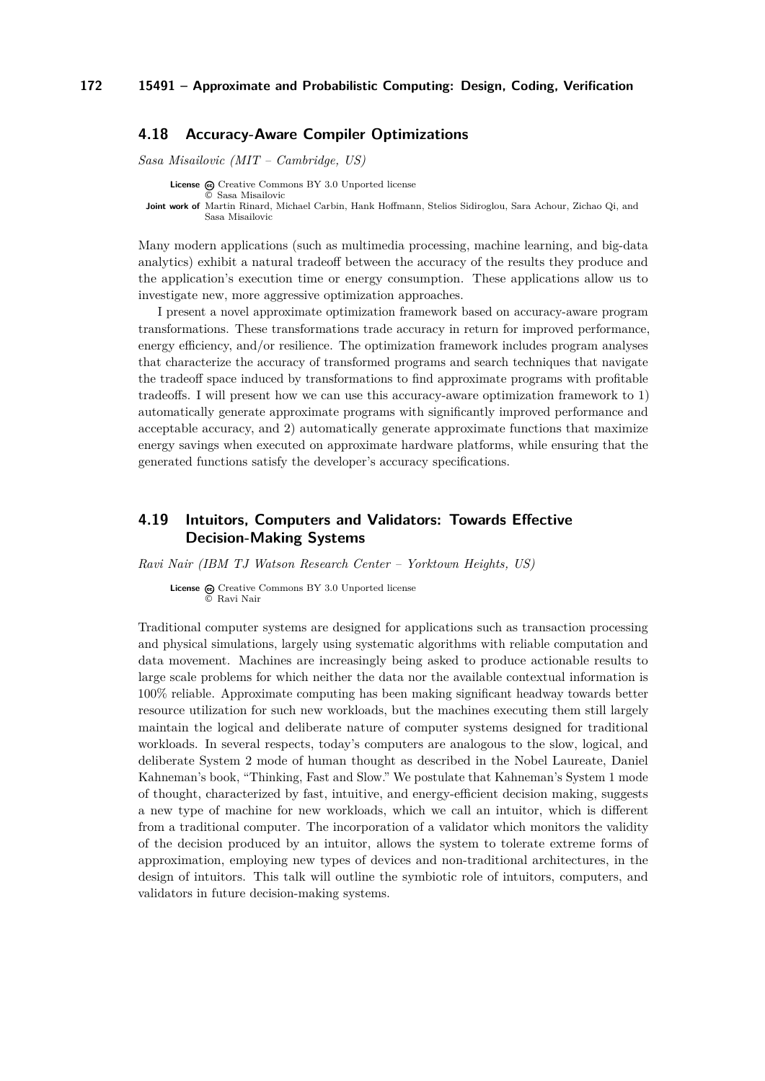### <span id="page-21-0"></span>**4.18 Accuracy-Aware Compiler Optimizations**

*Sasa Misailovic (MIT – Cambridge, US)*

**License**  $\odot$  [Creative Commons BY 3.0 Unported](http://creativecommons.org/licenses/by/3.0/) license © [Sasa Misailovic](#page-21-0) **Joint work of** Martin Rinard, Michael Carbin, Hank Hoffmann, Stelios Sidiroglou, Sara Achour, Zichao Qi, and Sasa Misailovic

Many modern applications (such as multimedia processing, machine learning, and big-data analytics) exhibit a natural tradeoff between the accuracy of the results they produce and the application's execution time or energy consumption. These applications allow us to investigate new, more aggressive optimization approaches.

I present a novel approximate optimization framework based on accuracy-aware program transformations. These transformations trade accuracy in return for improved performance, energy efficiency, and/or resilience. The optimization framework includes program analyses that characterize the accuracy of transformed programs and search techniques that navigate the tradeoff space induced by transformations to find approximate programs with profitable tradeoffs. I will present how we can use this accuracy-aware optimization framework to 1) automatically generate approximate programs with significantly improved performance and acceptable accuracy, and 2) automatically generate approximate functions that maximize energy savings when executed on approximate hardware platforms, while ensuring that the generated functions satisfy the developer's accuracy specifications.

### <span id="page-21-1"></span>**4.19 Intuitors, Computers and Validators: Towards Effective Decision-Making Systems**

*Ravi Nair (IBM TJ Watson Research Center – Yorktown Heights, US)*

License  $\bigcirc$  [Creative Commons BY 3.0 Unported](http://creativecommons.org/licenses/by/3.0/) license © [Ravi Nair](#page-21-1)

Traditional computer systems are designed for applications such as transaction processing and physical simulations, largely using systematic algorithms with reliable computation and data movement. Machines are increasingly being asked to produce actionable results to large scale problems for which neither the data nor the available contextual information is 100% reliable. Approximate computing has been making significant headway towards better resource utilization for such new workloads, but the machines executing them still largely maintain the logical and deliberate nature of computer systems designed for traditional workloads. In several respects, today's computers are analogous to the slow, logical, and deliberate System 2 mode of human thought as described in the Nobel Laureate, Daniel Kahneman's book, "Thinking, Fast and Slow." We postulate that Kahneman's System 1 mode of thought, characterized by fast, intuitive, and energy-efficient decision making, suggests a new type of machine for new workloads, which we call an intuitor, which is different from a traditional computer. The incorporation of a validator which monitors the validity of the decision produced by an intuitor, allows the system to tolerate extreme forms of approximation, employing new types of devices and non-traditional architectures, in the design of intuitors. This talk will outline the symbiotic role of intuitors, computers, and validators in future decision-making systems.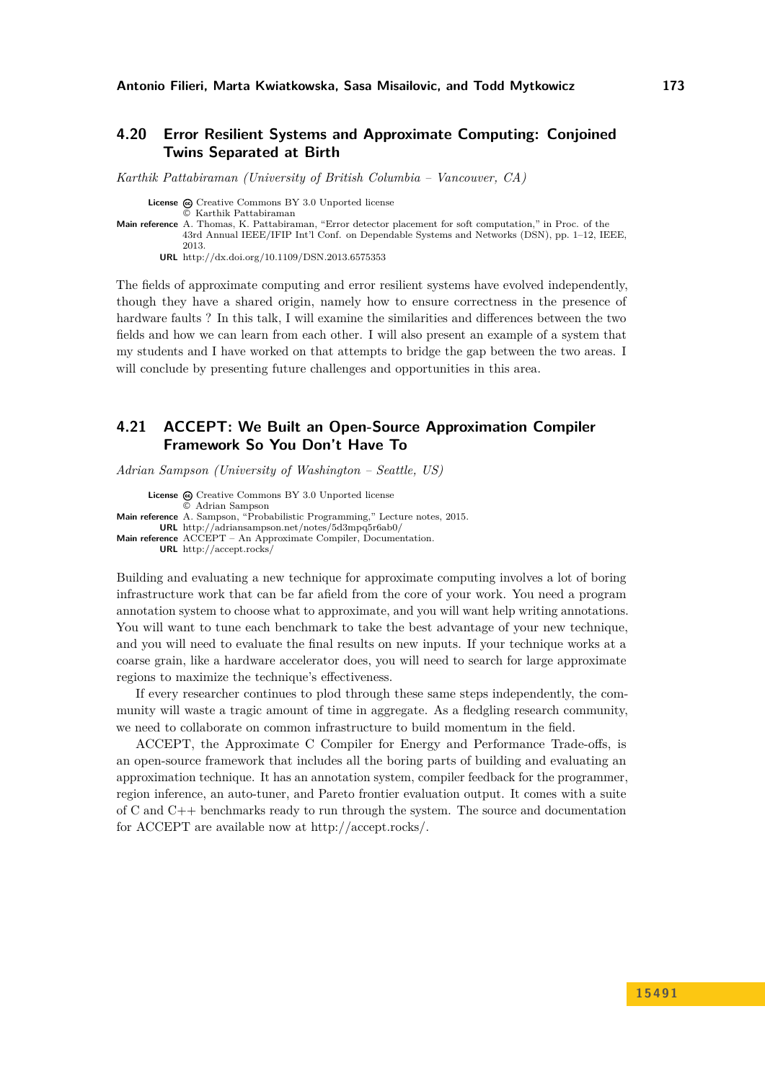### <span id="page-22-0"></span>**4.20 Error Resilient Systems and Approximate Computing: Conjoined Twins Separated at Birth**

*Karthik Pattabiraman (University of British Columbia – Vancouver, CA)*

**License**  $\textcircled{c}$  [Creative Commons BY 3.0 Unported](http://creativecommons.org/licenses/by/3.0/) license

© [Karthik Pattabiraman](#page-22-0)

**Main reference** [A. Thomas, K. Pattabiraman, "Error detector placement for soft computation," in Proc. of the](http://dx.doi.org/10.1109/DSN.2013.6575353) [43rd Annual IEEE/IFIP Int'l Conf. on Dependable Systems and Networks \(DSN\), pp. 1–12, IEEE,](http://dx.doi.org/10.1109/DSN.2013.6575353) [2013.](http://dx.doi.org/10.1109/DSN.2013.6575353) **URL** <http://dx.doi.org/10.1109/DSN.2013.6575353>

The fields of approximate computing and error resilient systems have evolved independently, though they have a shared origin, namely how to ensure correctness in the presence of hardware faults ? In this talk, I will examine the similarities and differences between the two fields and how we can learn from each other. I will also present an example of a system that my students and I have worked on that attempts to bridge the gap between the two areas. I will conclude by presenting future challenges and opportunities in this area.

### <span id="page-22-1"></span>**4.21 ACCEPT: We Built an Open-Source Approximation Compiler Framework So You Don't Have To**

*Adrian Sampson (University of Washington – Seattle, US)*

License  $\bigcirc$  [Creative Commons BY 3.0 Unported](http://creativecommons.org/licenses/by/3.0/) license © [Adrian Sampson](#page-22-1) **Main reference** [A. Sampson, "Probabilistic Programming," Lecture notes, 2015.](http://adriansampson.net/notes/5d3mpq5r6ab0/) **URL** <http://adriansampson.net/notes/5d3mpq5r6ab0/> **Main reference** [ACCEPT – An Approximate Compiler, Documentation.](http://accept.rocks/) **URL** <http://accept.rocks/>

Building and evaluating a new technique for approximate computing involves a lot of boring infrastructure work that can be far afield from the core of your work. You need a program annotation system to choose what to approximate, and you will want help writing annotations. You will want to tune each benchmark to take the best advantage of your new technique, and you will need to evaluate the final results on new inputs. If your technique works at a coarse grain, like a hardware accelerator does, you will need to search for large approximate regions to maximize the technique's effectiveness.

If every researcher continues to plod through these same steps independently, the community will waste a tragic amount of time in aggregate. As a fledgling research community, we need to collaborate on common infrastructure to build momentum in the field.

ACCEPT, the Approximate C Compiler for Energy and Performance Trade-offs, is an open-source framework that includes all the boring parts of building and evaluating an approximation technique. It has an annotation system, compiler feedback for the programmer, region inference, an auto-tuner, and Pareto frontier evaluation output. It comes with a suite of C and C++ benchmarks ready to run through the system. The source and documentation for ACCEPT are available now at http://accept.rocks/.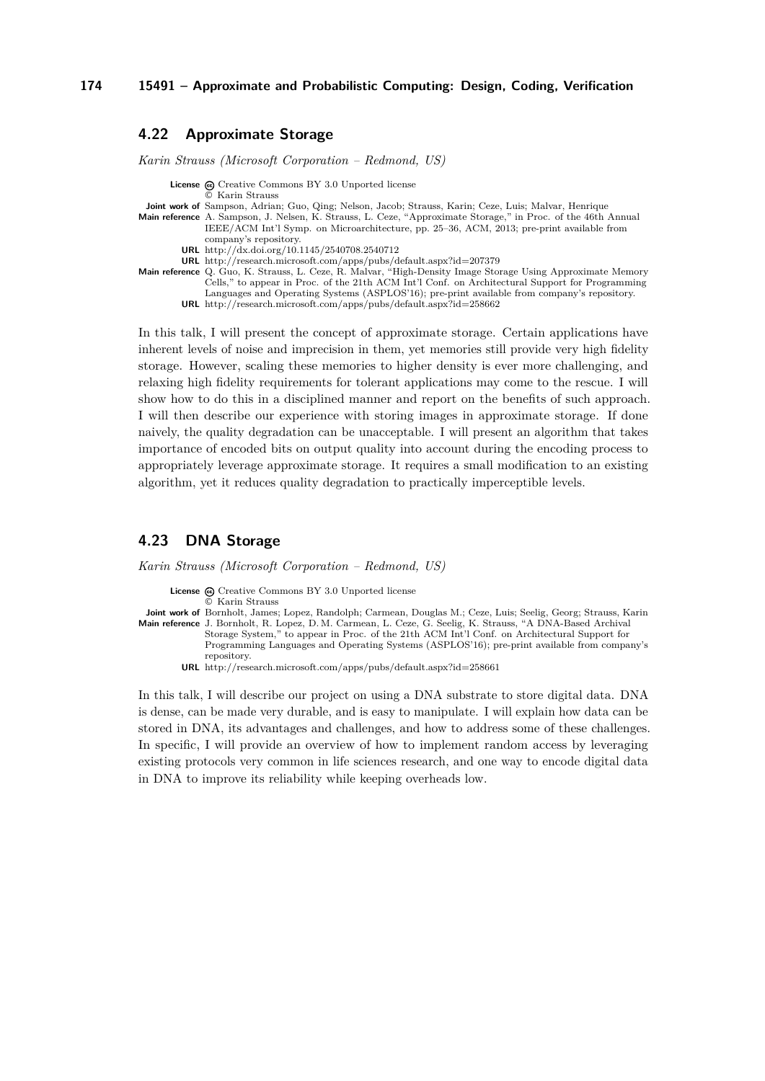### <span id="page-23-0"></span>**4.22 Approximate Storage**

*Karin Strauss (Microsoft Corporation – Redmond, US)*

**License**  $\odot$  [Creative Commons BY 3.0 Unported](http://creativecommons.org/licenses/by/3.0/) license

- © [Karin Strauss](#page-23-0)
- **Joint work of** Sampson, Adrian; Guo, Qing; Nelson, Jacob; Strauss, Karin; Ceze, Luis; Malvar, Henrique
- **Main reference** [A. Sampson, J. Nelsen, K. Strauss, L. Ceze, "Approximate Storage," in Proc. of the 46th Annual](http://dx.doi.org/10.1145/2540708.2540712) [IEEE/ACM Int'l Symp. on Microarchitecture, pp. 25–36, ACM, 2013; pre-print available from](http://dx.doi.org/10.1145/2540708.2540712) [company's repository.](http://dx.doi.org/10.1145/2540708.2540712)
	- **URL** <http://dx.doi.org/10.1145/2540708.2540712>
	- **URL** <http://research.microsoft.com/apps/pubs/default.aspx?id=207379>
- **Main reference** [Q. Guo, K. Strauss, L. Ceze, R. Malvar, "High-Density Image Storage Using Approximate Memory](http://research.microsoft.com/apps/pubs/default.aspx?id=258662) [Cells," to appear in Proc. of the 21th ACM Int'l Conf. on Architectural Support for Programming](http://research.microsoft.com/apps/pubs/default.aspx?id=258662) [Languages and Operating Systems \(ASPLOS'16\); pre-print available from company's repository.](http://research.microsoft.com/apps/pubs/default.aspx?id=258662) **URL** <http://research.microsoft.com/apps/pubs/default.aspx?id=258662>

In this talk, I will present the concept of approximate storage. Certain applications have inherent levels of noise and imprecision in them, yet memories still provide very high fidelity storage. However, scaling these memories to higher density is ever more challenging, and relaxing high fidelity requirements for tolerant applications may come to the rescue. I will show how to do this in a disciplined manner and report on the benefits of such approach. I will then describe our experience with storing images in approximate storage. If done naively, the quality degradation can be unacceptable. I will present an algorithm that takes importance of encoded bits on output quality into account during the encoding process to appropriately leverage approximate storage. It requires a small modification to an existing algorithm, yet it reduces quality degradation to practically imperceptible levels.

### <span id="page-23-1"></span>**4.23 DNA Storage**

*Karin Strauss (Microsoft Corporation – Redmond, US)*

License @ [Creative Commons BY 3.0 Unported](http://creativecommons.org/licenses/by/3.0/) license

© [Karin Strauss](#page-23-1)

**Joint work of** Bornholt, James; Lopez, Randolph; Carmean, Douglas M.; Ceze, Luis; Seelig, Georg; Strauss, Karin **Main reference** [J. Bornholt, R. Lopez, D. M. Carmean, L. Ceze, G. Seelig, K. Strauss, "A DNA-Based Archival](http://research.microsoft.com/apps/pubs/default.aspx?id=258661) [Storage System," to appear in Proc. of the 21th ACM Int'l Conf. on Architectural Support for](http://research.microsoft.com/apps/pubs/default.aspx?id=258661) [Programming Languages and Operating Systems \(ASPLOS'16\); pre-print available from company's](http://research.microsoft.com/apps/pubs/default.aspx?id=258661) [repository.](http://research.microsoft.com/apps/pubs/default.aspx?id=258661)

**URL** <http://research.microsoft.com/apps/pubs/default.aspx?id=258661>

In this talk, I will describe our project on using a DNA substrate to store digital data. DNA is dense, can be made very durable, and is easy to manipulate. I will explain how data can be stored in DNA, its advantages and challenges, and how to address some of these challenges. In specific, I will provide an overview of how to implement random access by leveraging existing protocols very common in life sciences research, and one way to encode digital data in DNA to improve its reliability while keeping overheads low.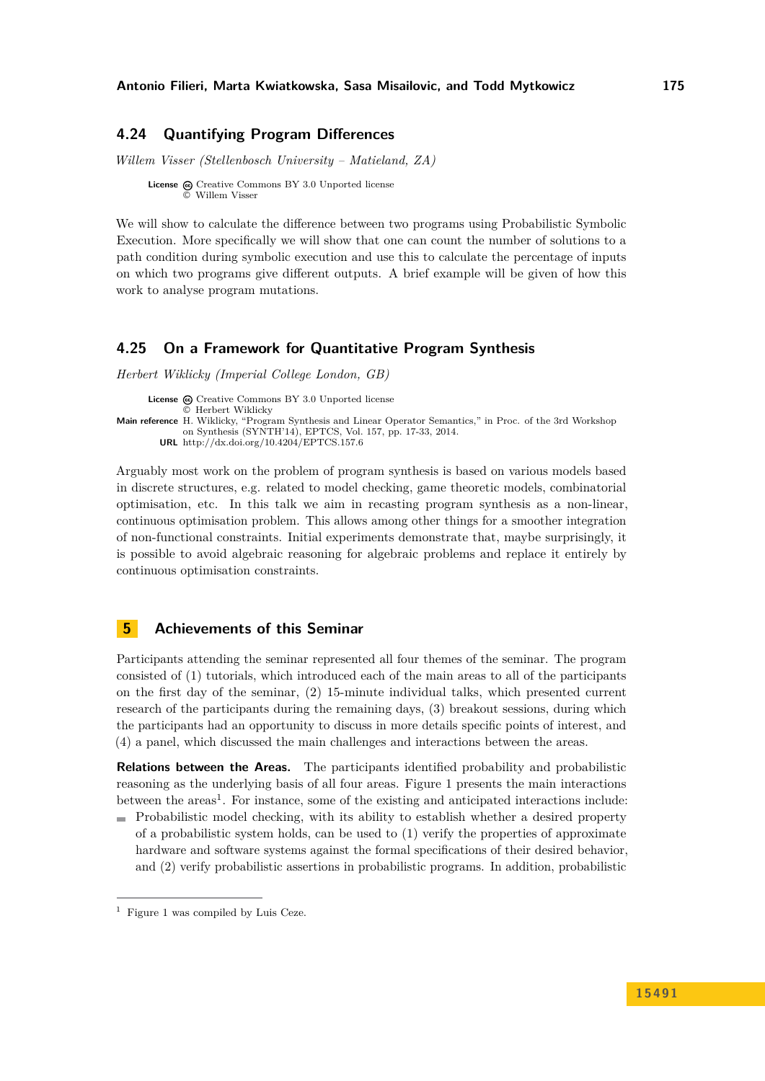### <span id="page-24-0"></span>**4.24 Quantifying Program Differences**

*Willem Visser (Stellenbosch University – Matieland, ZA)*

**License**  $\odot$  [Creative Commons BY 3.0 Unported](http://creativecommons.org/licenses/by/3.0/) license © [Willem Visser](#page-24-0)

We will show to calculate the difference between two programs using Probabilistic Symbolic Execution. More specifically we will show that one can count the number of solutions to a path condition during symbolic execution and use this to calculate the percentage of inputs on which two programs give different outputs. A brief example will be given of how this work to analyse program mutations.

### <span id="page-24-1"></span>**4.25 On a Framework for Quantitative Program Synthesis**

*Herbert Wiklicky (Imperial College London, GB)*

License  $\textcircled{c}$  [Creative Commons BY 3.0 Unported](http://creativecommons.org/licenses/by/3.0/) license © [Herbert Wiklicky](#page-24-1) **Main reference** [H. Wiklicky, "Program Synthesis and Linear Operator Semantics," in Proc. of the 3rd Workshop](http://dx.doi.org/10.4204/EPTCS.157.6) [on Synthesis \(SYNTH'14\), EPTCS, Vol. 157, pp. 17-33, 2014.](http://dx.doi.org/10.4204/EPTCS.157.6) **URL** <http://dx.doi.org/10.4204/EPTCS.157.6>

Arguably most work on the problem of program synthesis is based on various models based in discrete structures, e.g. related to model checking, game theoretic models, combinatorial optimisation, etc. In this talk we aim in recasting program synthesis as a non-linear, continuous optimisation problem. This allows among other things for a smoother integration of non-functional constraints. Initial experiments demonstrate that, maybe surprisingly, it is possible to avoid algebraic reasoning for algebraic problems and replace it entirely by continuous optimisation constraints.

### <span id="page-24-2"></span>**5 Achievements of this Seminar**

Participants attending the seminar represented all four themes of the seminar. The program consisted of (1) tutorials, which introduced each of the main areas to all of the participants on the first day of the seminar, (2) 15-minute individual talks, which presented current research of the participants during the remaining days, (3) breakout sessions, during which the participants had an opportunity to discuss in more details specific points of interest, and (4) a panel, which discussed the main challenges and interactions between the areas.

**Relations between the Areas.** The participants identified probability and probabilistic reasoning as the underlying basis of all four areas. Figure [1](#page-25-0) presents the main interactions between the areas<sup>[1](#page-24-3)</sup>. For instance, some of the existing and anticipated interactions include:

 $\blacksquare$  Probabilistic model checking, with its ability to establish whether a desired property of a probabilistic system holds, can be used to (1) verify the properties of approximate hardware and software systems against the formal specifications of their desired behavior, and (2) verify probabilistic assertions in probabilistic programs. In addition, probabilistic

<span id="page-24-3"></span><sup>1</sup> Figure [1](#page-25-0) was compiled by Luis Ceze.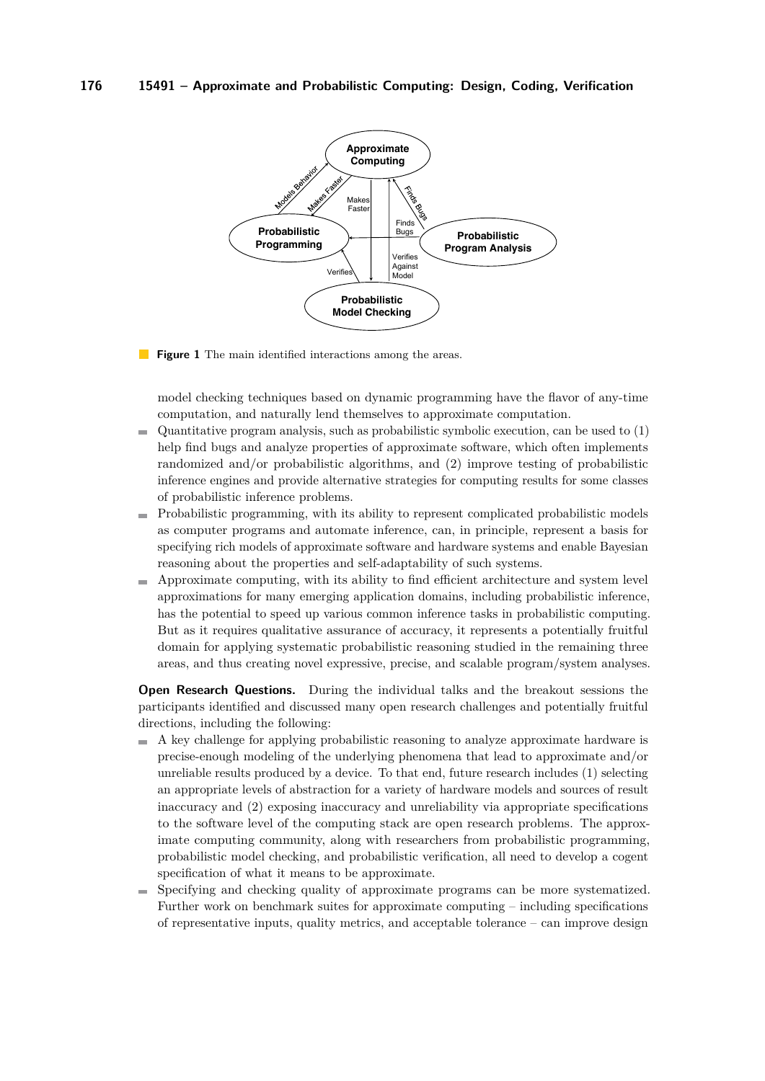<span id="page-25-0"></span>

**Figure 1** The main identified interactions among the areas.

model checking techniques based on dynamic programming have the flavor of any-time computation, and naturally lend themselves to approximate computation.

- Quantitative program analysis, such as probabilistic symbolic execution, can be used to (1) help find bugs and analyze properties of approximate software, which often implements randomized and/or probabilistic algorithms, and (2) improve testing of probabilistic inference engines and provide alternative strategies for computing results for some classes of probabilistic inference problems.
- Probabilistic programming, with its ability to represent complicated probabilistic models as computer programs and automate inference, can, in principle, represent a basis for specifying rich models of approximate software and hardware systems and enable Bayesian reasoning about the properties and self-adaptability of such systems.
- Approximate computing, with its ability to find efficient architecture and system level approximations for many emerging application domains, including probabilistic inference, has the potential to speed up various common inference tasks in probabilistic computing. But as it requires qualitative assurance of accuracy, it represents a potentially fruitful domain for applying systematic probabilistic reasoning studied in the remaining three areas, and thus creating novel expressive, precise, and scalable program/system analyses.

**Open Research Questions.** During the individual talks and the breakout sessions the participants identified and discussed many open research challenges and potentially fruitful directions, including the following:

- $\blacksquare$  A key challenge for applying probabilistic reasoning to analyze approximate hardware is precise-enough modeling of the underlying phenomena that lead to approximate and/or unreliable results produced by a device. To that end, future research includes (1) selecting an appropriate levels of abstraction for a variety of hardware models and sources of result inaccuracy and (2) exposing inaccuracy and unreliability via appropriate specifications to the software level of the computing stack are open research problems. The approximate computing community, along with researchers from probabilistic programming, probabilistic model checking, and probabilistic verification, all need to develop a cogent specification of what it means to be approximate.
- Specifying and checking quality of approximate programs can be more systematized. m. Further work on benchmark suites for approximate computing – including specifications of representative inputs, quality metrics, and acceptable tolerance – can improve design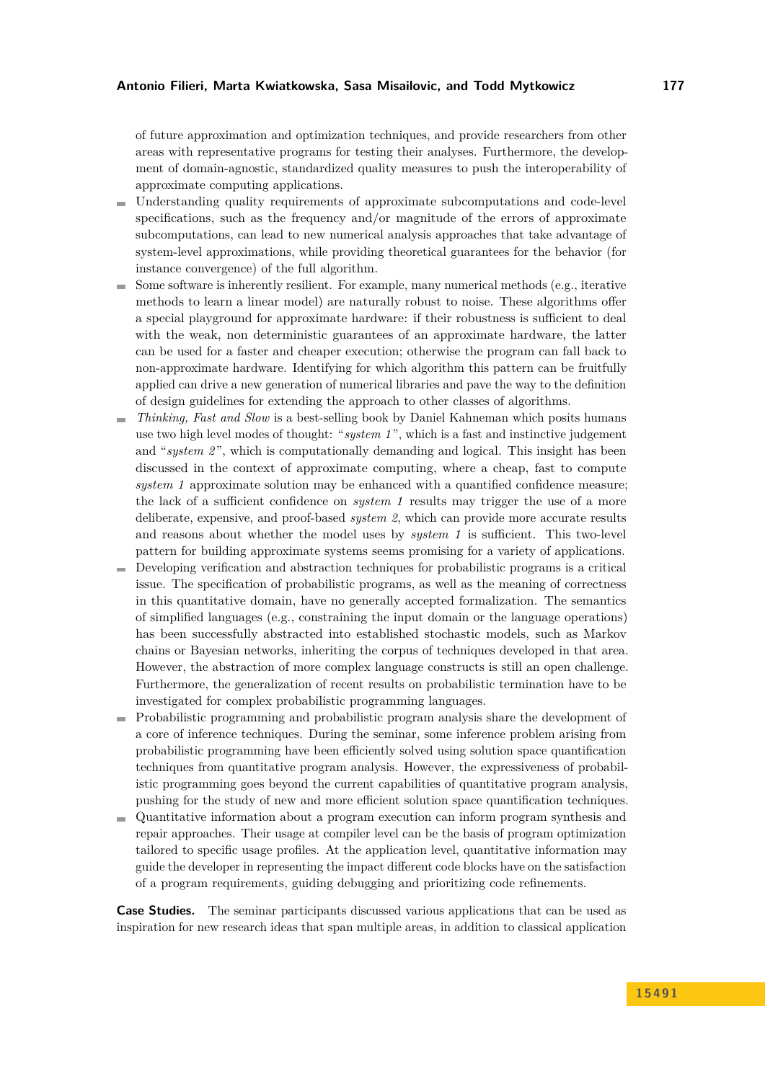of future approximation and optimization techniques, and provide researchers from other areas with representative programs for testing their analyses. Furthermore, the development of domain-agnostic, standardized quality measures to push the interoperability of approximate computing applications.

- Understanding quality requirements of approximate subcomputations and code-level  $\blacksquare$ specifications, such as the frequency and/or magnitude of the errors of approximate subcomputations, can lead to new numerical analysis approaches that take advantage of system-level approximations, while providing theoretical guarantees for the behavior (for instance convergence) of the full algorithm.
- Some software is inherently resilient. For example, many numerical methods (e.g., iterative methods to learn a linear model) are naturally robust to noise. These algorithms offer a special playground for approximate hardware: if their robustness is sufficient to deal with the weak, non deterministic guarantees of an approximate hardware, the latter can be used for a faster and cheaper execution; otherwise the program can fall back to non-approximate hardware. Identifying for which algorithm this pattern can be fruitfully applied can drive a new generation of numerical libraries and pave the way to the definition of design guidelines for extending the approach to other classes of algorithms.
- *Thinking, Fast and Slow* is a best-selling book by Daniel Kahneman which posits humans  $\mathbf{r}$ use two high level modes of thought: "*system 1* ", which is a fast and instinctive judgement and "*system 2*", which is computationally demanding and logical. This insight has been discussed in the context of approximate computing, where a cheap, fast to compute *system 1* approximate solution may be enhanced with a quantified confidence measure; the lack of a sufficient confidence on *system 1* results may trigger the use of a more deliberate, expensive, and proof-based *system 2*, which can provide more accurate results and reasons about whether the model uses by *system 1* is sufficient. This two-level pattern for building approximate systems seems promising for a variety of applications.
- $\overline{a}$ Developing verification and abstraction techniques for probabilistic programs is a critical issue. The specification of probabilistic programs, as well as the meaning of correctness in this quantitative domain, have no generally accepted formalization. The semantics of simplified languages (e.g., constraining the input domain or the language operations) has been successfully abstracted into established stochastic models, such as Markov chains or Bayesian networks, inheriting the corpus of techniques developed in that area. However, the abstraction of more complex language constructs is still an open challenge. Furthermore, the generalization of recent results on probabilistic termination have to be investigated for complex probabilistic programming languages.
- Probabilistic programming and probabilistic program analysis share the development of a core of inference techniques. During the seminar, some inference problem arising from probabilistic programming have been efficiently solved using solution space quantification techniques from quantitative program analysis. However, the expressiveness of probabilistic programming goes beyond the current capabilities of quantitative program analysis, pushing for the study of new and more efficient solution space quantification techniques.
- Quantitative information about a program execution can inform program synthesis and repair approaches. Their usage at compiler level can be the basis of program optimization tailored to specific usage profiles. At the application level, quantitative information may guide the developer in representing the impact different code blocks have on the satisfaction of a program requirements, guiding debugging and prioritizing code refinements.

**Case Studies.** The seminar participants discussed various applications that can be used as inspiration for new research ideas that span multiple areas, in addition to classical application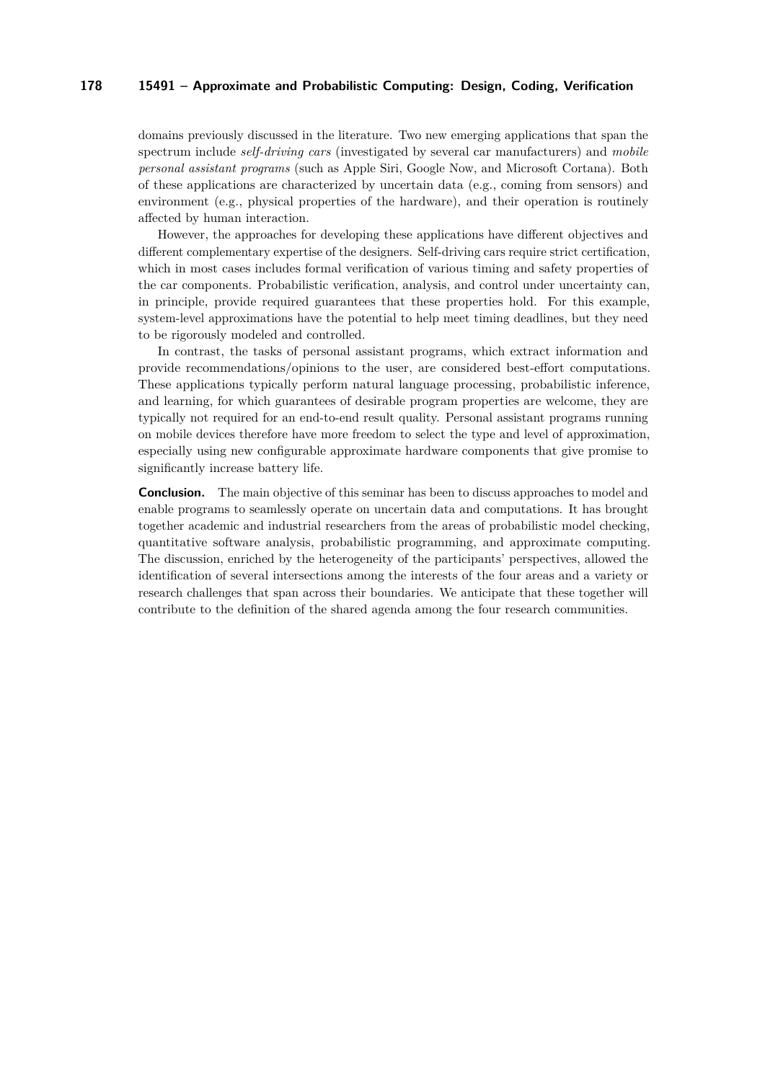domains previously discussed in the literature. Two new emerging applications that span the spectrum include *self-driving cars* (investigated by several car manufacturers) and *mobile personal assistant programs* (such as Apple Siri, Google Now, and Microsoft Cortana). Both of these applications are characterized by uncertain data (e.g., coming from sensors) and environment (e.g., physical properties of the hardware), and their operation is routinely affected by human interaction.

However, the approaches for developing these applications have different objectives and different complementary expertise of the designers. Self-driving cars require strict certification, which in most cases includes formal verification of various timing and safety properties of the car components. Probabilistic verification, analysis, and control under uncertainty can, in principle, provide required guarantees that these properties hold. For this example, system-level approximations have the potential to help meet timing deadlines, but they need to be rigorously modeled and controlled.

In contrast, the tasks of personal assistant programs, which extract information and provide recommendations/opinions to the user, are considered best-effort computations. These applications typically perform natural language processing, probabilistic inference, and learning, for which guarantees of desirable program properties are welcome, they are typically not required for an end-to-end result quality. Personal assistant programs running on mobile devices therefore have more freedom to select the type and level of approximation, especially using new configurable approximate hardware components that give promise to significantly increase battery life.

**Conclusion.** The main objective of this seminar has been to discuss approaches to model and enable programs to seamlessly operate on uncertain data and computations. It has brought together academic and industrial researchers from the areas of probabilistic model checking, quantitative software analysis, probabilistic programming, and approximate computing. The discussion, enriched by the heterogeneity of the participants' perspectives, allowed the identification of several intersections among the interests of the four areas and a variety or research challenges that span across their boundaries. We anticipate that these together will contribute to the definition of the shared agenda among the four research communities.